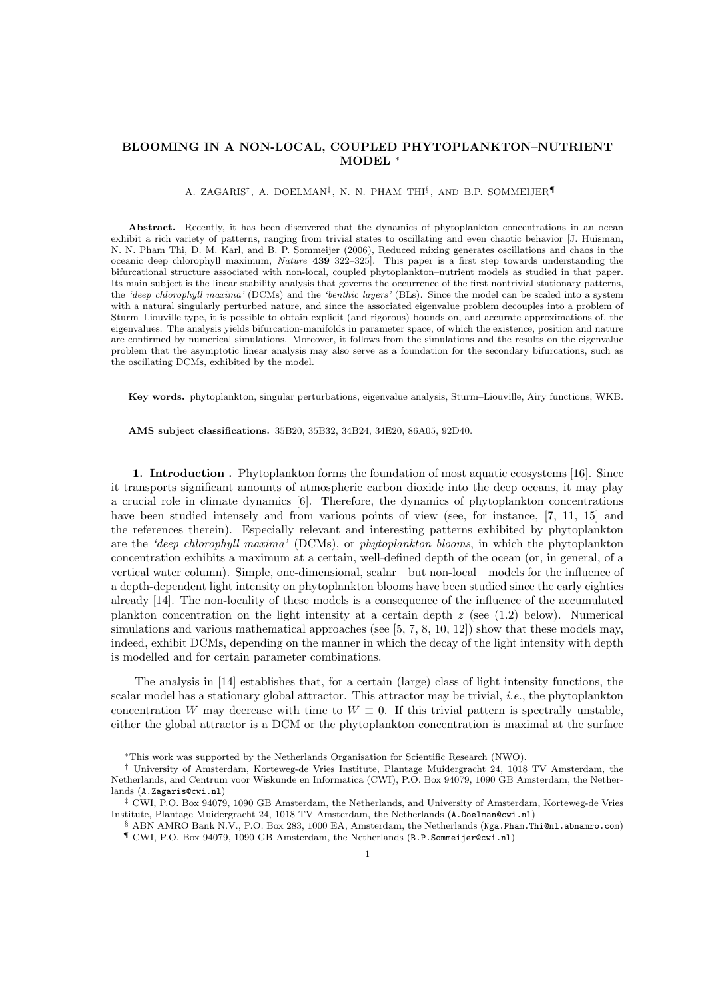# BLOOMING IN A NON-LOCAL, COUPLED PHYTOPLANKTON–NUTRIENT MODEL ∗

#### A. ZAGARIS<sup>†</sup>, A. DOELMAN<sup>‡</sup>, N. N. PHAM THI<sup>§</sup>, AND B.P. SOMMEIJER¶

Abstract. Recently, it has been discovered that the dynamics of phytoplankton concentrations in an ocean exhibit a rich variety of patterns, ranging from trivial states to oscillating and even chaotic behavior [J. Huisman, N. N. Pham Thi, D. M. Karl, and B. P. Sommeijer (2006), Reduced mixing generates oscillations and chaos in the oceanic deep chlorophyll maximum, Nature 439 322–325]. This paper is a first step towards understanding the bifurcational structure associated with non-local, coupled phytoplankton–nutrient models as studied in that paper. Its main subject is the linear stability analysis that governs the occurrence of the first nontrivial stationary patterns, the 'deep chlorophyll maxima' (DCMs) and the 'benthic layers' (BLs). Since the model can be scaled into a system with a natural singularly perturbed nature, and since the associated eigenvalue problem decouples into a problem of Sturm–Liouville type, it is possible to obtain explicit (and rigorous) bounds on, and accurate approximations of, the eigenvalues. The analysis yields bifurcation-manifolds in parameter space, of which the existence, position and nature are confirmed by numerical simulations. Moreover, it follows from the simulations and the results on the eigenvalue problem that the asymptotic linear analysis may also serve as a foundation for the secondary bifurcations, such as the oscillating DCMs, exhibited by the model.

Key words. phytoplankton, singular perturbations, eigenvalue analysis, Sturm–Liouville, Airy functions, WKB.

AMS subject classifications. 35B20, 35B32, 34B24, 34E20, 86A05, 92D40.

1. Introduction . Phytoplankton forms the foundation of most aquatic ecosystems [16]. Since it transports significant amounts of atmospheric carbon dioxide into the deep oceans, it may play a crucial role in climate dynamics [6]. Therefore, the dynamics of phytoplankton concentrations have been studied intensely and from various points of view (see, for instance, [7, 11, 15] and the references therein). Especially relevant and interesting patterns exhibited by phytoplankton are the 'deep chlorophyll maxima' (DCMs), or phytoplankton blooms, in which the phytoplankton concentration exhibits a maximum at a certain, well-defined depth of the ocean (or, in general, of a vertical water column). Simple, one-dimensional, scalar—but non-local—models for the influence of a depth-dependent light intensity on phytoplankton blooms have been studied since the early eighties already [14]. The non-locality of these models is a consequence of the influence of the accumulated plankton concentration on the light intensity at a certain depth  $z$  (see (1.2) below). Numerical simulations and various mathematical approaches (see [5, 7, 8, 10, 12]) show that these models may, indeed, exhibit DCMs, depending on the manner in which the decay of the light intensity with depth is modelled and for certain parameter combinations.

The analysis in [14] establishes that, for a certain (large) class of light intensity functions, the scalar model has a stationary global attractor. This attractor may be trivial, i.e., the phytoplankton concentration W may decrease with time to  $W \equiv 0$ . If this trivial pattern is spectrally unstable, either the global attractor is a DCM or the phytoplankton concentration is maximal at the surface

<sup>∗</sup>This work was supported by the Netherlands Organisation for Scientific Research (NWO).

<sup>†</sup> University of Amsterdam, Korteweg-de Vries Institute, Plantage Muidergracht 24, 1018 TV Amsterdam, the Netherlands, and Centrum voor Wiskunde en Informatica (CWI), P.O. Box 94079, 1090 GB Amsterdam, the Netherlands (A.Zagaris@cwi.nl)

<sup>‡</sup> CWI, P.O. Box 94079, 1090 GB Amsterdam, the Netherlands, and University of Amsterdam, Korteweg-de Vries Institute, Plantage Muidergracht 24, 1018 TV Amsterdam, the Netherlands (A.Doelman@cwi.nl)

 $\S$  ABN AMRO Bank N.V., P.O. Box 283, 1000 EA, Amsterdam, the Netherlands (Nga.Pham.Thi@nl.abnamro.com) ¶ CWI, P.O. Box 94079, 1090 GB Amsterdam, the Netherlands (B.P.Sommeijer@cwi.nl)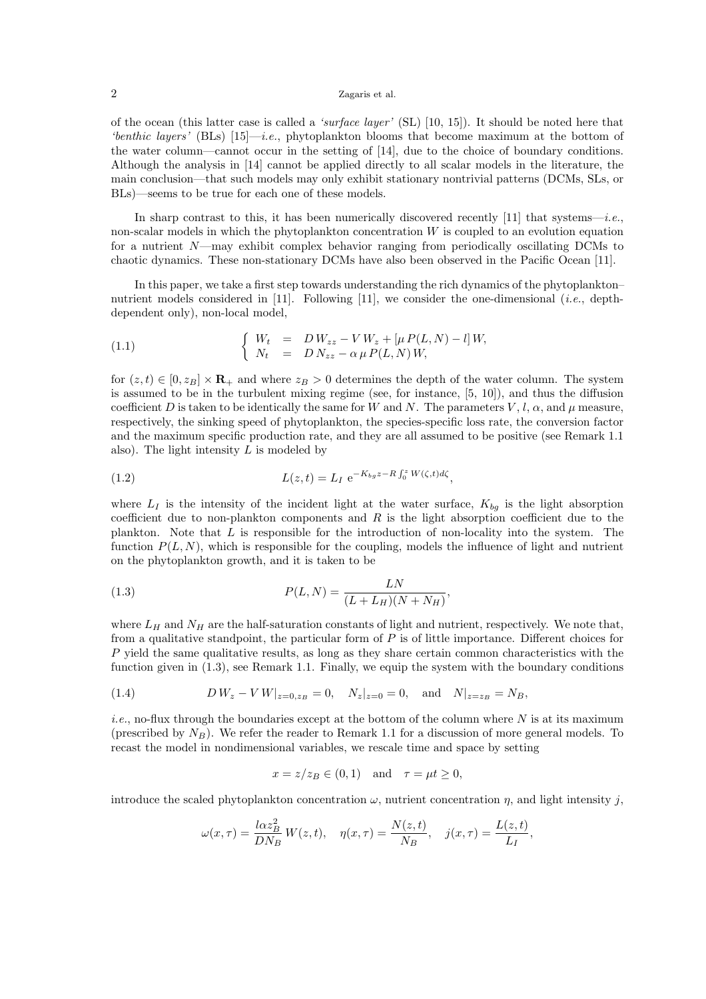of the ocean (this latter case is called a 'surface layer' (SL)  $[10, 15]$ ). It should be noted here that 'benthic layers' (BLs)  $[15]$ —i.e., phytoplankton blooms that become maximum at the bottom of the water column—cannot occur in the setting of [14], due to the choice of boundary conditions. Although the analysis in [14] cannot be applied directly to all scalar models in the literature, the main conclusion—that such models may only exhibit stationary nontrivial patterns (DCMs, SLs, or BLs)—seems to be true for each one of these models.

In sharp contrast to this, it has been numerically discovered recently [11] that systems—i.e., non-scalar models in which the phytoplankton concentration  $W$  is coupled to an evolution equation for a nutrient N—may exhibit complex behavior ranging from periodically oscillating DCMs to chaotic dynamics. These non-stationary DCMs have also been observed in the Pacific Ocean [11].

In this paper, we take a first step towards understanding the rich dynamics of the phytoplankton– nutrient models considered in [11]. Following [11], we consider the one-dimensional (*i.e.*, depthdependent only), non-local model,

(1.1) 
$$
\begin{cases} W_t = D W_{zz} - V W_z + [\mu P(L, N) - l] W, \\ N_t = D N_{zz} - \alpha \mu P(L, N) W, \end{cases}
$$

for  $(z,t) \in [0,z_B] \times \mathbf{R}_+$  and where  $z_B > 0$  determines the depth of the water column. The system is assumed to be in the turbulent mixing regime (see, for instance, [5, 10]), and thus the diffusion coefficient D is taken to be identically the same for W and N. The parameters V, l,  $\alpha$ , and  $\mu$  measure, respectively, the sinking speed of phytoplankton, the species-specific loss rate, the conversion factor and the maximum specific production rate, and they are all assumed to be positive (see Remark 1.1 also). The light intensity  $L$  is modeled by

(1.2) 
$$
L(z,t) = L_I e^{-K_{bg}z - R \int_0^z W(\zeta,t)d\zeta},
$$

where  $L_I$  is the intensity of the incident light at the water surface,  $K_{bq}$  is the light absorption coefficient due to non-plankton components and  $R$  is the light absorption coefficient due to the plankton. Note that L is responsible for the introduction of non-locality into the system. The function  $P(L, N)$ , which is responsible for the coupling, models the influence of light and nutrient on the phytoplankton growth, and it is taken to be

(1.3) 
$$
P(L, N) = \frac{LN}{(L + L_H)(N + N_H)},
$$

where  $L_H$  and  $N_H$  are the half-saturation constants of light and nutrient, respectively. We note that, from a qualitative standpoint, the particular form of  $P$  is of little importance. Different choices for P yield the same qualitative results, as long as they share certain common characteristics with the function given in (1.3), see Remark 1.1. Finally, we equip the system with the boundary conditions

(1.4) 
$$
D W_z - V W|_{z=0, z_B} = 0, \quad N_z|_{z=0} = 0, \quad \text{and} \quad N|_{z=z_B} = N_B,
$$

*i.e.*, no-flux through the boundaries except at the bottom of the column where  $N$  is at its maximum (prescribed by  $N_B$ ). We refer the reader to Remark 1.1 for a discussion of more general models. To recast the model in nondimensional variables, we rescale time and space by setting

$$
x = z/z_B \in (0,1) \quad \text{and} \quad \tau = \mu t \ge 0,
$$

introduce the scaled phytoplankton concentration  $\omega$ , nutrient concentration  $\eta$ , and light intensity j,

$$
\omega(x,\tau) = \frac{l\alpha z_B^2}{DN_B} W(z,t), \quad \eta(x,\tau) = \frac{N(z,t)}{N_B}, \quad j(x,\tau) = \frac{L(z,t)}{L_I},
$$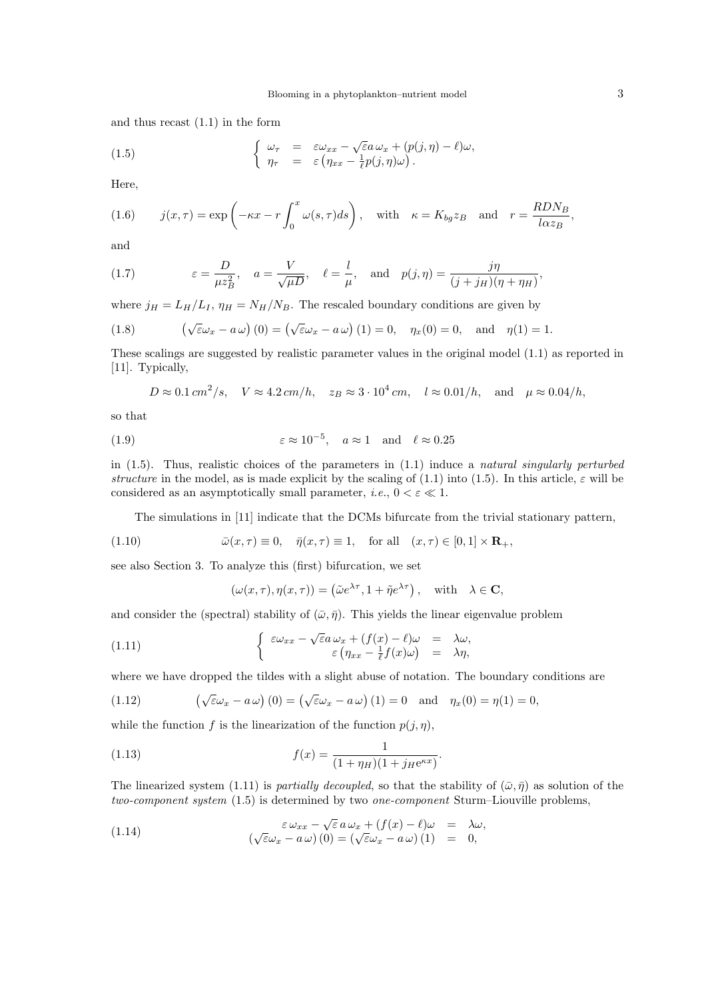and thus recast (1.1) in the form

(1.5) 
$$
\begin{cases} \omega_{\tau} = \varepsilon \omega_{xx} - \sqrt{\varepsilon} a \omega_x + (p(j, \eta) - \ell) \omega, \\ \eta_{\tau} = \varepsilon \left( \eta_{xx} - \frac{1}{\ell} p(j, \eta) \omega \right). \end{cases}
$$

Here,

(1.6) 
$$
j(x,\tau) = \exp\left(-\kappa x - r \int_0^x \omega(s,\tau)ds\right), \text{ with } \kappa = K_{bg}z_B \text{ and } r = \frac{RDN_B}{l\alpha z_B},
$$

and

(1.7) 
$$
\varepsilon = \frac{D}{\mu z_B^2}, \quad a = \frac{V}{\sqrt{\mu D}}, \quad \ell = \frac{l}{\mu}, \quad \text{and} \quad p(j, \eta) = \frac{j\eta}{(j + j_H)(\eta + \eta_H)},
$$

where  $j_H = L_H/L_I$ ,  $\eta_H = N_H/N_B$ . The rescaled boundary conditions are given by

(1.8) 
$$
\left(\sqrt{\varepsilon}\omega_x - a\,\omega\right)(0) = \left(\sqrt{\varepsilon}\omega_x - a\,\omega\right)(1) = 0, \quad \eta_x(0) = 0, \text{ and } \eta(1) = 1.
$$

These scalings are suggested by realistic parameter values in the original model (1.1) as reported in [11]. Typically,

$$
D \approx 0.1 \, \text{cm}^2/\text{s}, \quad V \approx 4.2 \, \text{cm}/h, \quad z_B \approx 3 \cdot 10^4 \, \text{cm}, \quad l \approx 0.01/h, \quad \text{and} \quad \mu \approx 0.04/h,
$$

so that

(1.9) 
$$
\varepsilon \approx 10^{-5}
$$
,  $a \approx 1$  and  $\ell \approx 0.25$ 

in  $(1.5)$ . Thus, realistic choices of the parameters in  $(1.1)$  induce a natural singularly perturbed structure in the model, as is made explicit by the scaling of (1.1) into (1.5). In this article,  $\varepsilon$  will be considered as an asymptotically small parameter, *i.e.*,  $0 < \varepsilon \ll 1$ .

The simulations in [11] indicate that the DCMs bifurcate from the trivial stationary pattern,

(1.10) 
$$
\bar{\omega}(x,\tau) \equiv 0, \quad \bar{\eta}(x,\tau) \equiv 1, \quad \text{for all} \quad (x,\tau) \in [0,1] \times \mathbf{R}_+,
$$

see also Section 3. To analyze this (first) bifurcation, we set

$$
(\omega(x,\tau), \eta(x,\tau)) = (\tilde{\omega}e^{\lambda \tau}, 1 + \tilde{\eta}e^{\lambda \tau}), \text{ with } \lambda \in \mathbf{C},
$$

and consider the (spectral) stability of  $(\bar{\omega}, \bar{\eta})$ . This yields the linear eigenvalue problem

(1.11) 
$$
\begin{cases} \varepsilon \omega_{xx} - \sqrt{\varepsilon} a \omega_x + (f(x) - \ell) \omega = \lambda \omega, \\ \varepsilon \left( \eta_{xx} - \frac{1}{\ell} f(x) \omega \right) = \lambda \eta, \end{cases}
$$

where we have dropped the tildes with a slight abuse of notation. The boundary conditions are

(1.12) 
$$
\left(\sqrt{\varepsilon}\omega_x - a\,\omega\right)(0) = \left(\sqrt{\varepsilon}\omega_x - a\,\omega\right)(1) = 0 \text{ and } \eta_x(0) = \eta(1) = 0,
$$

while the function f is the linearization of the function  $p(j, \eta)$ ,

(1.13) 
$$
f(x) = \frac{1}{(1 + \eta_H)(1 + j_H e^{\kappa x})}.
$$

The linearized system (1.11) is partially decoupled, so that the stability of  $(\bar{\omega}, \bar{\eta})$  as solution of the two-component system (1.5) is determined by two one-component Sturm–Liouville problems,

(1.14) 
$$
\varepsilon \omega_{xx} - \sqrt{\varepsilon} a \omega_x + (f(x) - \ell) \omega = \lambda \omega, (\sqrt{\varepsilon} \omega_x - a \omega) (0) = (\sqrt{\varepsilon} \omega_x - a \omega) (1) = 0,
$$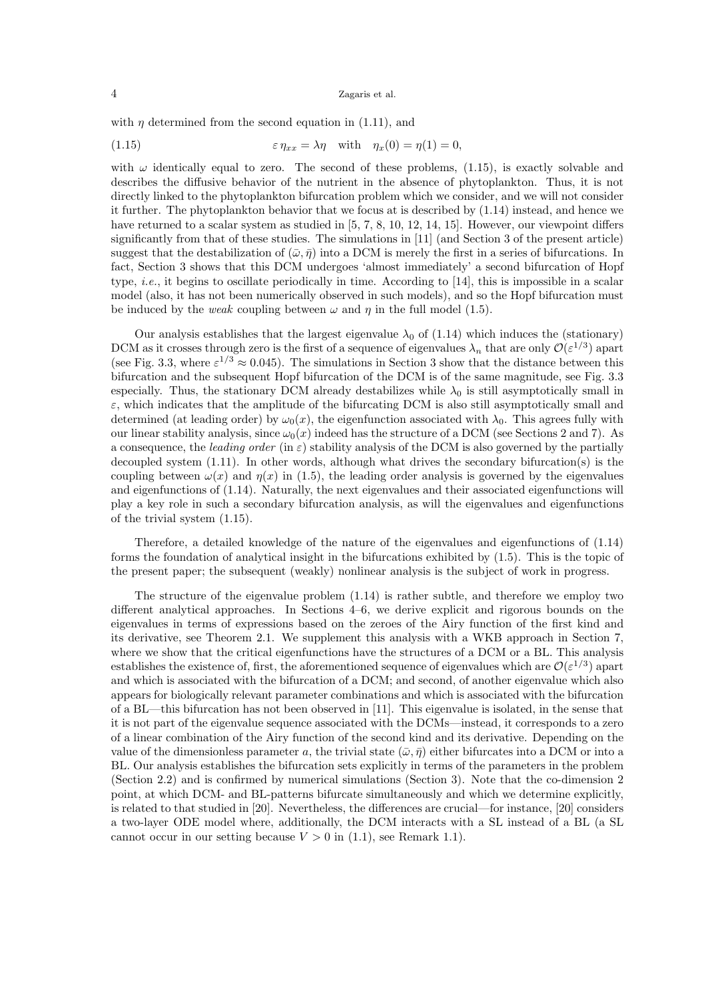with  $\eta$  determined from the second equation in (1.11), and

(1.15) 
$$
\varepsilon \eta_{xx} = \lambda \eta \quad \text{with} \quad \eta_x(0) = \eta(1) = 0,
$$

with  $\omega$  identically equal to zero. The second of these problems, (1.15), is exactly solvable and describes the diffusive behavior of the nutrient in the absence of phytoplankton. Thus, it is not directly linked to the phytoplankton bifurcation problem which we consider, and we will not consider it further. The phytoplankton behavior that we focus at is described by (1.14) instead, and hence we have returned to a scalar system as studied in [5, 7, 8, 10, 12, 14, 15]. However, our viewpoint differs significantly from that of these studies. The simulations in [11] (and Section 3 of the present article) suggest that the destabilization of  $(\bar{\omega}, \bar{\eta})$  into a DCM is merely the first in a series of bifurcations. In fact, Section 3 shows that this DCM undergoes 'almost immediately' a second bifurcation of Hopf type, i.e., it begins to oscillate periodically in time. According to [14], this is impossible in a scalar model (also, it has not been numerically observed in such models), and so the Hopf bifurcation must be induced by the *weak* coupling between  $\omega$  and  $\eta$  in the full model (1.5).

Our analysis establishes that the largest eigenvalue  $\lambda_0$  of (1.14) which induces the (stationary) DCM as it crosses through zero is the first of a sequence of eigenvalues  $\lambda_n$  that are only  $\mathcal{O}(\varepsilon^{1/3})$  apart (see Fig. 3.3, where  $\varepsilon^{1/3} \approx 0.045$ ). The simulations in Section 3 show that the distance between this bifurcation and the subsequent Hopf bifurcation of the DCM is of the same magnitude, see Fig. 3.3 especially. Thus, the stationary DCM already destabilizes while  $\lambda_0$  is still asymptotically small in  $\varepsilon$ , which indicates that the amplitude of the bifurcating DCM is also still asymptotically small and determined (at leading order) by  $\omega_0(x)$ , the eigenfunction associated with  $\lambda_0$ . This agrees fully with our linear stability analysis, since  $\omega_0(x)$  indeed has the structure of a DCM (see Sections 2 and 7). As a consequence, the leading order (in  $\varepsilon$ ) stability analysis of the DCM is also governed by the partially decoupled system  $(1.11)$ . In other words, although what drives the secondary bifurcation(s) is the coupling between  $\omega(x)$  and  $\eta(x)$  in (1.5), the leading order analysis is governed by the eigenvalues and eigenfunctions of (1.14). Naturally, the next eigenvalues and their associated eigenfunctions will play a key role in such a secondary bifurcation analysis, as will the eigenvalues and eigenfunctions of the trivial system (1.15).

Therefore, a detailed knowledge of the nature of the eigenvalues and eigenfunctions of (1.14) forms the foundation of analytical insight in the bifurcations exhibited by (1.5). This is the topic of the present paper; the subsequent (weakly) nonlinear analysis is the subject of work in progress.

The structure of the eigenvalue problem (1.14) is rather subtle, and therefore we employ two different analytical approaches. In Sections 4–6, we derive explicit and rigorous bounds on the eigenvalues in terms of expressions based on the zeroes of the Airy function of the first kind and its derivative, see Theorem 2.1. We supplement this analysis with a WKB approach in Section 7, where we show that the critical eigenfunctions have the structures of a DCM or a BL. This analysis establishes the existence of, first, the aforementioned sequence of eigenvalues which are  $\mathcal{O}(\varepsilon^{1/3})$  apart and which is associated with the bifurcation of a DCM; and second, of another eigenvalue which also appears for biologically relevant parameter combinations and which is associated with the bifurcation of a BL—this bifurcation has not been observed in [11]. This eigenvalue is isolated, in the sense that it is not part of the eigenvalue sequence associated with the DCMs—instead, it corresponds to a zero of a linear combination of the Airy function of the second kind and its derivative. Depending on the value of the dimensionless parameter a, the trivial state  $(\bar{\omega}, \bar{\eta})$  either bifurcates into a DCM or into a BL. Our analysis establishes the bifurcation sets explicitly in terms of the parameters in the problem (Section 2.2) and is confirmed by numerical simulations (Section 3). Note that the co-dimension 2 point, at which DCM- and BL-patterns bifurcate simultaneously and which we determine explicitly, is related to that studied in [20]. Nevertheless, the differences are crucial—for instance, [20] considers a two-layer ODE model where, additionally, the DCM interacts with a SL instead of a BL (a SL cannot occur in our setting because  $V > 0$  in (1.1), see Remark 1.1).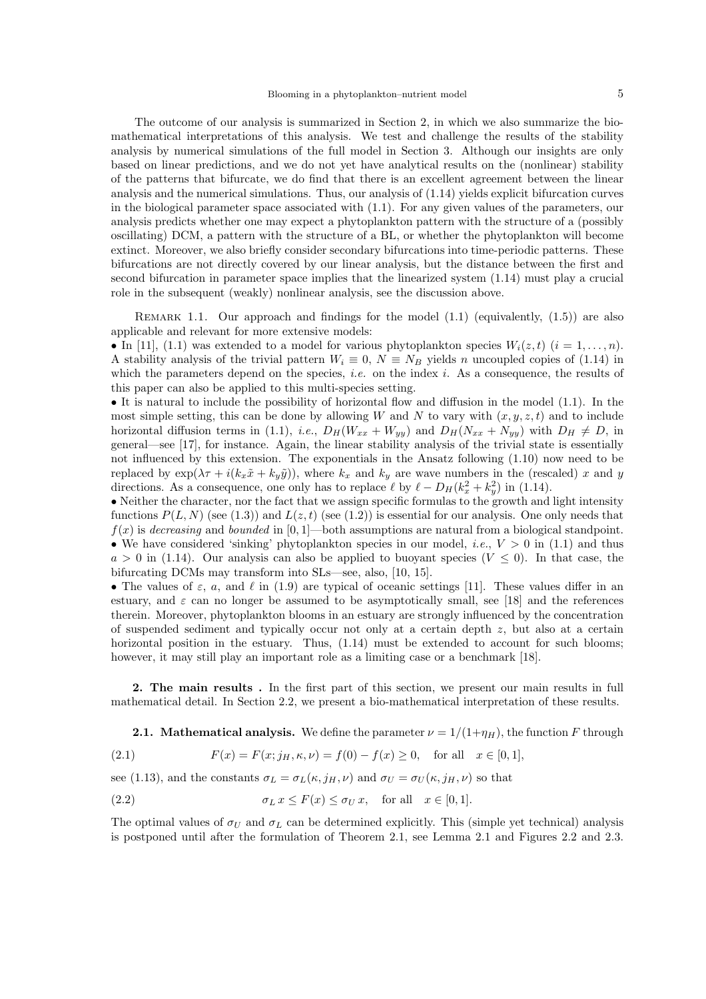The outcome of our analysis is summarized in Section 2, in which we also summarize the biomathematical interpretations of this analysis. We test and challenge the results of the stability analysis by numerical simulations of the full model in Section 3. Although our insights are only based on linear predictions, and we do not yet have analytical results on the (nonlinear) stability of the patterns that bifurcate, we do find that there is an excellent agreement between the linear analysis and the numerical simulations. Thus, our analysis of (1.14) yields explicit bifurcation curves in the biological parameter space associated with (1.1). For any given values of the parameters, our analysis predicts whether one may expect a phytoplankton pattern with the structure of a (possibly oscillating) DCM, a pattern with the structure of a BL, or whether the phytoplankton will become extinct. Moreover, we also briefly consider secondary bifurcations into time-periodic patterns. These bifurcations are not directly covered by our linear analysis, but the distance between the first and second bifurcation in parameter space implies that the linearized system (1.14) must play a crucial role in the subsequent (weakly) nonlinear analysis, see the discussion above.

REMARK 1.1. Our approach and findings for the model  $(1.1)$  (equivalently,  $(1.5)$ ) are also applicable and relevant for more extensive models:

• In [11], (1.1) was extended to a model for various phytoplankton species  $W_i(z,t)$   $(i = 1,\ldots,n)$ . A stability analysis of the trivial pattern  $W_i \equiv 0$ ,  $N \equiv N_B$  yields n uncoupled copies of (1.14) in which the parameters depend on the species, *i.e.* on the index *i*. As a consequence, the results of this paper can also be applied to this multi-species setting.

• It is natural to include the possibility of horizontal flow and diffusion in the model (1.1). In the most simple setting, this can be done by allowing W and N to vary with  $(x,y,z,t)$  and to include horizontal diffusion terms in (1.1), *i.e.*,  $D_H(W_{xx} + W_{yy})$  and  $D_H(N_{xx} + N_{yy})$  with  $D_H \neq D$ , in general—see [17], for instance. Again, the linear stability analysis of the trivial state is essentially not influenced by this extension. The exponentials in the Ansatz following (1.10) now need to be replaced by  $\exp(\lambda \tau + i(k_x \tilde{x} + k_y \tilde{y}))$ , where  $k_x$  and  $k_y$  are wave numbers in the (rescaled) x and y directions. As a consequence, one only has to replace  $\ell$  by  $\ell - D_H(k_x^2 + k_y^2)$  in (1.14).

• Neither the character, nor the fact that we assign specific formulas to the growth and light intensity functions  $P(L, N)$  (see (1.3)) and  $L(z, t)$  (see (1.2)) is essential for our analysis. One only needs that  $f(x)$  is decreasing and bounded in [0, 1]—both assumptions are natural from a biological standpoint. • We have considered 'sinking' phytoplankton species in our model, *i.e.*,  $V > 0$  in (1.1) and thus  $a > 0$  in (1.14). Our analysis can also be applied to buoyant species  $(V \leq 0)$ . In that case, the bifurcating DCMs may transform into SLs—see, also, [10, 15].

• The values of  $\varepsilon$ ,  $a$ , and  $\ell$  in (1.9) are typical of oceanic settings [11]. These values differ in an estuary, and  $\varepsilon$  can no longer be assumed to be asymptotically small, see [18] and the references therein. Moreover, phytoplankton blooms in an estuary are strongly influenced by the concentration of suspended sediment and typically occur not only at a certain depth z, but also at a certain horizontal position in the estuary. Thus,  $(1.14)$  must be extended to account for such blooms; however, it may still play an important role as a limiting case or a benchmark [18].

2. The main results . In the first part of this section, we present our main results in full mathematical detail. In Section 2.2, we present a bio-mathematical interpretation of these results.

**2.1.** Mathematical analysis. We define the parameter  $\nu = 1/(1+\eta_H)$ , the function F through

(2.1) 
$$
F(x) = F(x; j_H, \kappa, \nu) = f(0) - f(x) \ge 0, \text{ for all } x \in [0, 1],
$$

see (1.13), and the constants  $\sigma_L = \sigma_L(\kappa, j_H, \nu)$  and  $\sigma_U = \sigma_U(\kappa, j_H, \nu)$  so that

(2.2) 
$$
\sigma_L x \leq F(x) \leq \sigma_U x, \text{ for all } x \in [0,1].
$$

The optimal values of  $\sigma_U$  and  $\sigma_L$  can be determined explicitly. This (simple yet technical) analysis is postponed until after the formulation of Theorem 2.1, see Lemma 2.1 and Figures 2.2 and 2.3.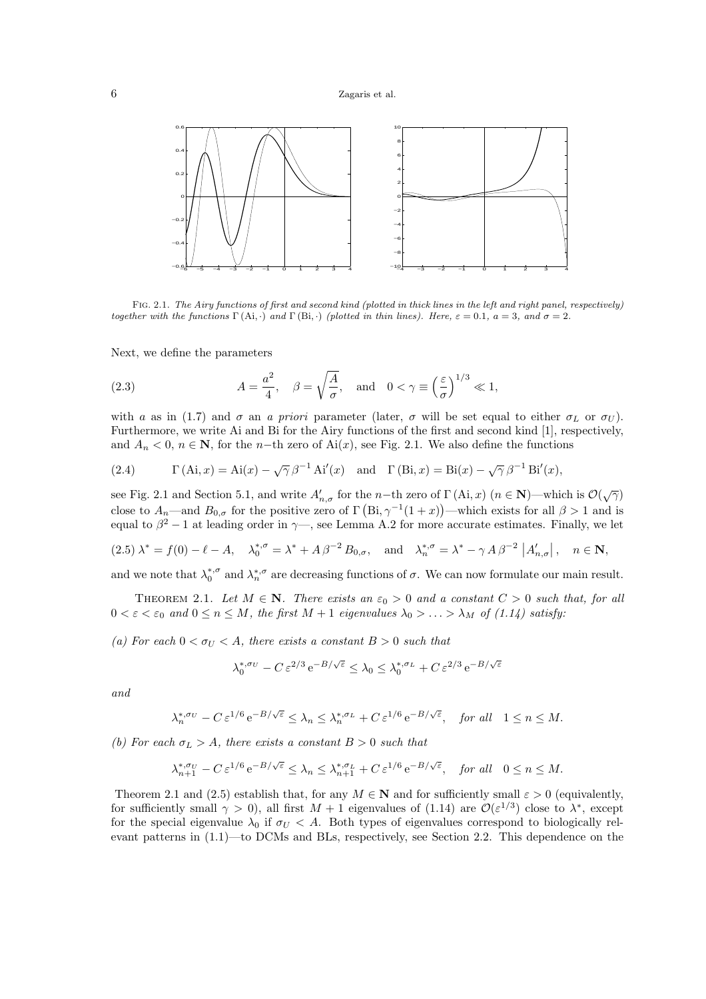

Fig. 2.1. The Airy functions of first and second kind (plotted in thick lines in the left and right panel, respectively) together with the functions  $\Gamma(\text{Ai}, \cdot)$  and  $\Gamma(\text{Bi}, \cdot)$  (plotted in thin lines). Here,  $\varepsilon = 0.1$ ,  $a = 3$ , and  $\sigma = 2$ .

Next, we define the parameters

(2.3) 
$$
A = \frac{a^2}{4}, \quad \beta = \sqrt{\frac{A}{\sigma}}, \text{ and } 0 < \gamma \equiv \left(\frac{\varepsilon}{\sigma}\right)^{1/3} \ll 1,
$$

with a as in (1.7) and  $\sigma$  an a priori parameter (later,  $\sigma$  will be set equal to either  $\sigma_L$  or  $\sigma_U$ ). Furthermore, we write Ai and Bi for the Airy functions of the first and second kind [1], respectively, and  $A_n < 0$ ,  $n \in \mathbb{N}$ , for the n-th zero of Ai(x), see Fig. 2.1. We also define the functions

(2.4) 
$$
\Gamma(\text{Ai}, x) = \text{Ai}(x) - \sqrt{\gamma} \beta^{-1} \text{Ai}'(x) \text{ and } \Gamma(\text{Bi}, x) = \text{Bi}(x) - \sqrt{\gamma} \beta^{-1} \text{Bi}'(x),
$$

see Fig. 2.1 and Section 5.1, and write  $A'_{n,\sigma}$  for the n-th zero of  $\Gamma(\mathbf{Ai},x)$   $(n \in \mathbf{N})$ —which is  $\mathcal{O}(\sqrt{\gamma})$ close to  $A_n$ —and  $B_{0,\sigma}$  for the positive zero of  $\Gamma(\text{Bi}, \gamma^{-1}(1+x))$ —which exists for all  $\beta > 1$  and is equal to  $\beta^2 - 1$  at leading order in  $\gamma$ —, see Lemma A.2 for more accurate estimates. Finally, we let

$$
(2.5)\ \lambda^* = f(0) - \ell - A, \quad \lambda_0^{*,\sigma} = \lambda^* + A\,\beta^{-2}\,B_{0,\sigma}, \quad \text{and} \quad \lambda_n^{*,\sigma} = \lambda^* - \gamma\,A\,\beta^{-2}\,\left|A'_{n,\sigma}\right|, \quad n \in \mathbb{N},
$$

and we note that  $\lambda_0^{*,\sigma}$  and  $\lambda_n^{*,\sigma}$  are decreasing functions of  $\sigma$ . We can now formulate our main result.

THEOREM 2.1. Let  $M \in \mathbb{N}$ . There exists an  $\varepsilon_0 > 0$  and a constant  $C > 0$  such that, for all  $0 < \varepsilon < \varepsilon_0$  and  $0 \le n \le M$ , the first  $M + 1$  eigenvalues  $\lambda_0 > \ldots > \lambda_M$  of (1.14) satisfy:

(a) For each  $0 < \sigma_U < A$ , there exists a constant  $B > 0$  such that

$$
\lambda_0^{*,\sigma_U}-C\,\varepsilon^{2/3}\,{\rm e}^{-B/\sqrt{\varepsilon}}\le\lambda_0\le \lambda_0^{*,\sigma_L}+C\,\varepsilon^{2/3}\,{\rm e}^{-B/\sqrt{\varepsilon}}
$$

and

$$
\lambda_n^{*, \sigma_U} - C \, \varepsilon^{1/6} \, {\rm e}^{-B/\sqrt{\varepsilon}} \le \lambda_n \le \lambda_n^{*, \sigma_L} + C \, \varepsilon^{1/6} \, {\rm e}^{-B/\sqrt{\varepsilon}}, \quad {\rm for \ all} \quad 1 \le n \le M.
$$

(b) For each  $\sigma_L > A$ , there exists a constant  $B > 0$  such that

$$
\lambda_{n+1}^{*,\sigma_U}-C\,\varepsilon^{1/6}\,\mathrm{e}^{-B/\sqrt{\varepsilon}}\leq \lambda_n\leq \lambda_{n+1}^{*,\sigma_L}+C\,\varepsilon^{1/6}\,\mathrm{e}^{-B/\sqrt{\varepsilon}},\quad\text{for all}\quad 0\leq n\leq M.
$$

Theorem 2.1 and (2.5) establish that, for any  $M \in \mathbb{N}$  and for sufficiently small  $\varepsilon > 0$  (equivalently, for sufficiently small  $\gamma > 0$ ), all first  $M + 1$  eigenvalues of (1.14) are  $\mathcal{O}(\varepsilon^{1/3})$  close to  $\lambda^*$ , except for the special eigenvalue  $\lambda_0$  if  $\sigma_U < A$ . Both types of eigenvalues correspond to biologically relevant patterns in (1.1)—to DCMs and BLs, respectively, see Section 2.2. This dependence on the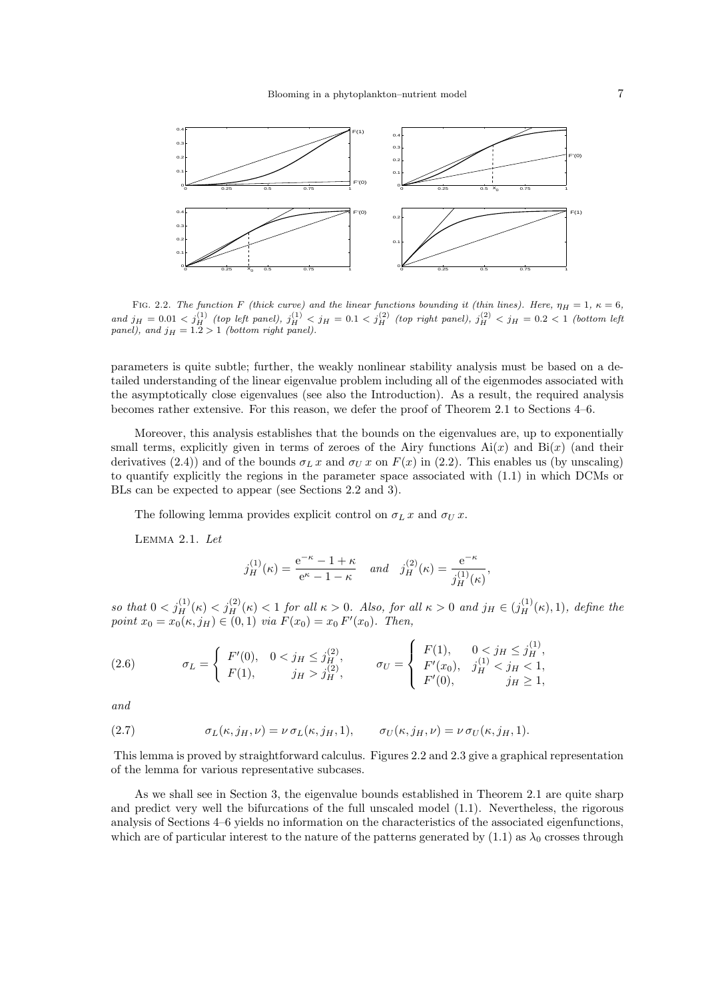

FIG. 2.2. The function F (thick curve) and the linear functions bounding it (thin lines). Here,  $\eta_H = 1$ ,  $\kappa = 6$ , and  $j_H = 0.01 < j_H^{(1)}$  (top left panel),  $j_H^{(1)} < j_H = 0.1 < j_H^{(2)}$  (top right panel),  $j_H^{(2)} < j_H = 0.2 < 1$  (bottom left panel), and  $j_H = 1.2 > 1$  (bottom right panel).

parameters is quite subtle; further, the weakly nonlinear stability analysis must be based on a detailed understanding of the linear eigenvalue problem including all of the eigenmodes associated with the asymptotically close eigenvalues (see also the Introduction). As a result, the required analysis becomes rather extensive. For this reason, we defer the proof of Theorem 2.1 to Sections 4–6.

Moreover, this analysis establishes that the bounds on the eigenvalues are, up to exponentially small terms, explicitly given in terms of zeroes of the Airy functions  $Ai(x)$  and  $Bi(x)$  (and their derivatives (2.4)) and of the bounds  $\sigma_L x$  and  $\sigma_U x$  on  $F(x)$  in (2.2). This enables us (by unscaling) to quantify explicitly the regions in the parameter space associated with (1.1) in which DCMs or BLs can be expected to appear (see Sections 2.2 and 3).

The following lemma provides explicit control on  $\sigma_L x$  and  $\sigma_U x$ .

Lemma 2.1. Let

$$
j_H^{(1)}(\kappa) = \frac{e^{-\kappa} - 1 + \kappa}{e^{\kappa} - 1 - \kappa}
$$
 and  $j_H^{(2)}(\kappa) = \frac{e^{-\kappa}}{j_H^{(1)}(\kappa)}$ ,

so that  $0 < j_H^{(1)}(\kappa) < j_H^{(2)}(\kappa) < 1$  for all  $\kappa > 0$ . Also, for all  $\kappa > 0$  and  $j_H \in (j_H^{(1)}(\kappa), 1)$ , define the point  $x_0 = x_0(\kappa, j_H) \in (0, 1)$  via  $F(x_0) = x_0 F'(x_0)$ . Then,

(2.6) 
$$
\sigma_L = \begin{cases} F'(0), & 0 < j_H \le j_H^{(2)}, \\ F(1), & j_H > j_H^{(2)}, \end{cases} \qquad \sigma_U = \begin{cases} F(1), & 0 < j_H \le j_H^{(1)}, \\ F'(x_0), & j_H^{(1)} < j_H < 1, \\ F'(0), & j_H \ge 1, \end{cases}
$$

and

(2.7) 
$$
\sigma_L(\kappa, j_H, \nu) = \nu \sigma_L(\kappa, j_H, 1), \qquad \sigma_U(\kappa, j_H, \nu) = \nu \sigma_U(\kappa, j_H, 1).
$$

This lemma is proved by straightforward calculus. Figures 2.2 and 2.3 give a graphical representation of the lemma for various representative subcases.

As we shall see in Section 3, the eigenvalue bounds established in Theorem 2.1 are quite sharp and predict very well the bifurcations of the full unscaled model (1.1). Nevertheless, the rigorous analysis of Sections 4–6 yields no information on the characteristics of the associated eigenfunctions, which are of particular interest to the nature of the patterns generated by  $(1.1)$  as  $\lambda_0$  crosses through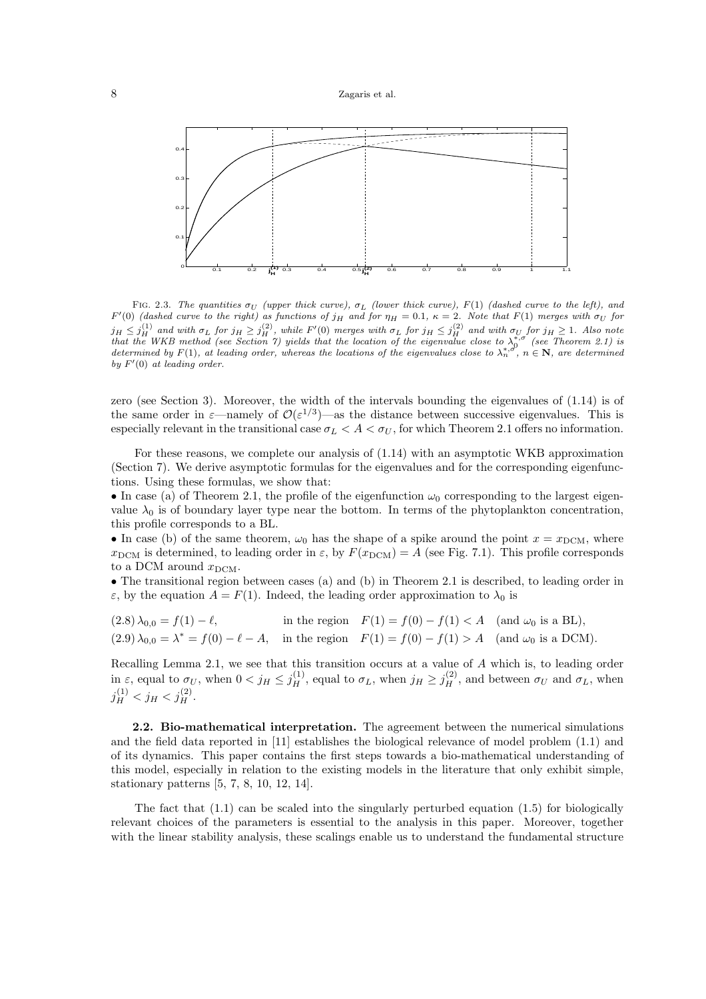

FIG. 2.3. The quantities  $\sigma_U$  (upper thick curve),  $\sigma_L$  (lower thick curve), F(1) (dashed curve to the left), and  $F'(0)$  (dashed curve to the right) as functions of  $j_H$  and for  $\eta_H = 0.1$ ,  $\kappa = 2$ . Note that  $F(1)$  merges with  $\sigma_U$  for  $j_H \leq j_H^{(1)}$  and with  $\sigma_L$  for  $j_H \geq j_H^{(2)}$ , while  $F'(0)$  merges with  $\sigma_L$  for  $j_H \leq j_H^{(2)}$  and with  $\sigma_U$  for  $j_H \geq 1$ . Also note<br>that the WKB method (see Section 7) yields that the location of the eigenvalue close determined by  $F(1)$ , at leading order, whereas the locations of the eigenvalues close to  $\lambda_n^{*,\sigma}$ ,  $n \in \mathbb{N}$ , are determined by  $F'(0)$  at leading order.

zero (see Section 3). Moreover, the width of the intervals bounding the eigenvalues of (1.14) is of the same order in  $\varepsilon$ —namely of  $\mathcal{O}(\varepsilon^{1/3})$ —as the distance between successive eigenvalues. This is especially relevant in the transitional case  $\sigma_L < A < \sigma_U$ , for which Theorem 2.1 offers no information.

For these reasons, we complete our analysis of (1.14) with an asymptotic WKB approximation (Section 7). We derive asymptotic formulas for the eigenvalues and for the corresponding eigenfunctions. Using these formulas, we show that:

• In case (a) of Theorem 2.1, the profile of the eigenfunction  $\omega_0$  corresponding to the largest eigenvalue  $\lambda_0$  is of boundary layer type near the bottom. In terms of the phytoplankton concentration, this profile corresponds to a BL.

• In case (b) of the same theorem,  $\omega_0$  has the shape of a spike around the point  $x = x_{\text{DCM}}$ , where  $x_{\text{DCM}}$  is determined, to leading order in  $\varepsilon$ , by  $F(x_{\text{DCM}}) = A$  (see Fig. 7.1). This profile corresponds to a DCM around  $x_{\text{DCM}}$ .

• The transitional region between cases (a) and (b) in Theorem 2.1 is described, to leading order in  $\varepsilon$ , by the equation  $A = F(1)$ . Indeed, the leading order approximation to  $\lambda_0$  is

 $(2.8) \lambda_{0,0} = f(1) - \ell$ , in the region  $F(1) = f(0) - f(1) < A$  (and  $\omega_0$  is a BL),  $(2.9) \lambda_{0,0} = \lambda^* = f(0) - \ell - A$ , in the region  $F(1) = f(0) - f(1) > A$  (and  $\omega_0$  is a DCM).

Recalling Lemma 2.1, we see that this transition occurs at a value of A which is, to leading order in  $\varepsilon$ , equal to  $\sigma_U$ , when  $0 < j_H \le j_H^{(1)}$ , equal to  $\sigma_L$ , when  $j_H \ge j_H^{(2)}$ , and between  $\sigma_U$  and  $\sigma_L$ , when  $j_H^{(1)} < j_H < j_H^{(2)}$ .

2.2. Bio-mathematical interpretation. The agreement between the numerical simulations and the field data reported in [11] establishes the biological relevance of model problem (1.1) and of its dynamics. This paper contains the first steps towards a bio-mathematical understanding of this model, especially in relation to the existing models in the literature that only exhibit simple, stationary patterns [5, 7, 8, 10, 12, 14].

The fact that  $(1.1)$  can be scaled into the singularly perturbed equation  $(1.5)$  for biologically relevant choices of the parameters is essential to the analysis in this paper. Moreover, together with the linear stability analysis, these scalings enable us to understand the fundamental structure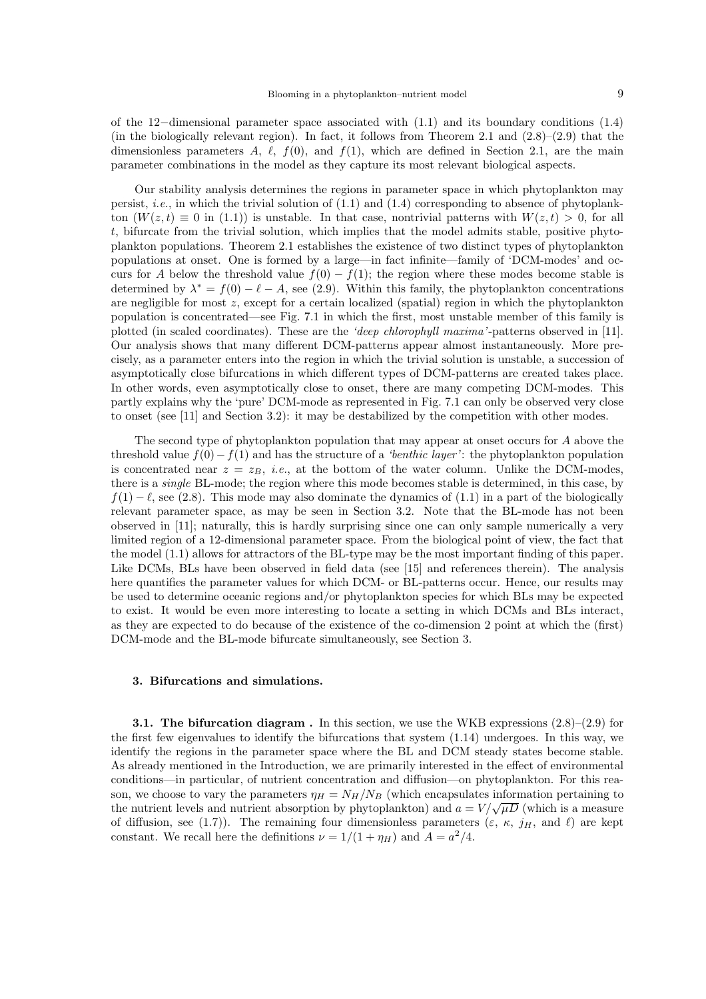of the 12−dimensional parameter space associated with (1.1) and its boundary conditions (1.4) (in the biologically relevant region). In fact, it follows from Theorem 2.1 and  $(2.8)$ – $(2.9)$  that the dimensionless parameters A,  $\ell$ ,  $f(0)$ , and  $f(1)$ , which are defined in Section 2.1, are the main parameter combinations in the model as they capture its most relevant biological aspects.

Our stability analysis determines the regions in parameter space in which phytoplankton may persist, *i.e.*, in which the trivial solution of  $(1.1)$  and  $(1.4)$  corresponding to absence of phytoplankton  $(W(z,t) \equiv 0$  in (1.1)) is unstable. In that case, nontrivial patterns with  $W(z,t) > 0$ , for all t, bifurcate from the trivial solution, which implies that the model admits stable, positive phytoplankton populations. Theorem 2.1 establishes the existence of two distinct types of phytoplankton populations at onset. One is formed by a large—in fact infinite—family of 'DCM-modes' and occurs for A below the threshold value  $f(0) - f(1)$ ; the region where these modes become stable is determined by  $\lambda^* = f(0) - \ell - A$ , see (2.9). Within this family, the phytoplankton concentrations are negligible for most  $z$ , except for a certain localized (spatial) region in which the phytoplankton population is concentrated—see Fig. 7.1 in which the first, most unstable member of this family is plotted (in scaled coordinates). These are the 'deep chlorophyll maxima'-patterns observed in [11]. Our analysis shows that many different DCM-patterns appear almost instantaneously. More precisely, as a parameter enters into the region in which the trivial solution is unstable, a succession of asymptotically close bifurcations in which different types of DCM-patterns are created takes place. In other words, even asymptotically close to onset, there are many competing DCM-modes. This partly explains why the 'pure' DCM-mode as represented in Fig. 7.1 can only be observed very close to onset (see [11] and Section 3.2): it may be destabilized by the competition with other modes.

The second type of phytoplankton population that may appear at onset occurs for A above the threshold value  $f(0)-f(1)$  and has the structure of a 'benthic layer': the phytoplankton population is concentrated near  $z = z_B$ , *i.e.*, at the bottom of the water column. Unlike the DCM-modes, there is a *single* BL-mode; the region where this mode becomes stable is determined, in this case, by  $f(1) - \ell$ , see (2.8). This mode may also dominate the dynamics of (1.1) in a part of the biologically relevant parameter space, as may be seen in Section 3.2. Note that the BL-mode has not been observed in [11]; naturally, this is hardly surprising since one can only sample numerically a very limited region of a 12-dimensional parameter space. From the biological point of view, the fact that the model (1.1) allows for attractors of the BL-type may be the most important finding of this paper. Like DCMs, BLs have been observed in field data (see [15] and references therein). The analysis here quantifies the parameter values for which DCM- or BL-patterns occur. Hence, our results may be used to determine oceanic regions and/or phytoplankton species for which BLs may be expected to exist. It would be even more interesting to locate a setting in which DCMs and BLs interact, as they are expected to do because of the existence of the co-dimension 2 point at which the (first) DCM-mode and the BL-mode bifurcate simultaneously, see Section 3.

## 3. Bifurcations and simulations.

**3.1. The bifurcation diagram.** In this section, we use the WKB expressions  $(2.8)$ – $(2.9)$  for the first few eigenvalues to identify the bifurcations that system (1.14) undergoes. In this way, we identify the regions in the parameter space where the BL and DCM steady states become stable. As already mentioned in the Introduction, we are primarily interested in the effect of environmental conditions—in particular, of nutrient concentration and diffusion—on phytoplankton. For this reason, we choose to vary the parameters  $\eta_H = N_H/N_B$  (which encapsulates information pertaining to the nutrient levels and nutrient absorption by phytoplankton) and  $a = V/\sqrt{\mu D}$  (which is a measure of diffusion, see (1.7)). The remaining four dimensionless parameters  $(\varepsilon, \kappa, j_H, \text{ and } \ell)$  are kept constant. We recall here the definitions  $\nu = 1/(1 + \eta_H)$  and  $A = a^2/4$ .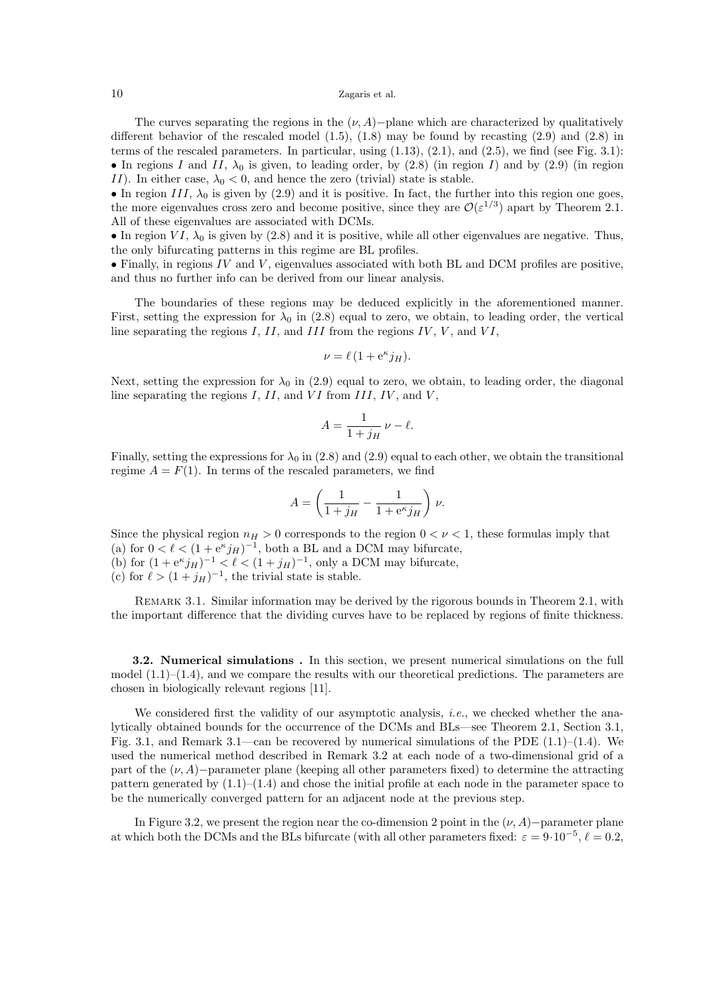The curves separating the regions in the  $(\nu, A)$ −plane which are characterized by qualitatively different behavior of the rescaled model  $(1.5)$ ,  $(1.8)$  may be found by recasting  $(2.9)$  and  $(2.8)$  in terms of the rescaled parameters. In particular, using  $(1.13)$ ,  $(2.1)$ , and  $(2.5)$ , we find (see Fig. 3.1): • In regions I and II,  $\lambda_0$  is given, to leading order, by (2.8) (in region I) and by (2.9) (in region II). In either case,  $\lambda_0 < 0$ , and hence the zero (trivial) state is stable.

• In region III,  $\lambda_0$  is given by (2.9) and it is positive. In fact, the further into this region one goes, the more eigenvalues cross zero and become positive, since they are  $\mathcal{O}(\varepsilon^{1/3})$  apart by Theorem 2.1. All of these eigenvalues are associated with DCMs.

• In region  $VI$ ,  $\lambda_0$  is given by (2.8) and it is positive, while all other eigenvalues are negative. Thus, the only bifurcating patterns in this regime are BL profiles.

 $\bullet$  Finally, in regions IV and V, eigenvalues associated with both BL and DCM profiles are positive, and thus no further info can be derived from our linear analysis.

The boundaries of these regions may be deduced explicitly in the aforementioned manner. First, setting the expression for  $\lambda_0$  in (2.8) equal to zero, we obtain, to leading order, the vertical line separating the regions  $I, II$ , and  $III$  from the regions  $IV, V$ , and  $VI$ ,

$$
\nu = \ell (1 + e^{\kappa} j_H).
$$

Next, setting the expression for  $\lambda_0$  in (2.9) equal to zero, we obtain, to leading order, the diagonal line separating the regions  $I, II$ , and  $VI$  from  $III, IV$ , and  $V$ ,

$$
A = \frac{1}{1+j_H} \nu - \ell.
$$

Finally, setting the expressions for  $\lambda_0$  in (2.8) and (2.9) equal to each other, we obtain the transitional regime  $A = F(1)$ . In terms of the rescaled parameters, we find

$$
A = \left(\frac{1}{1+j_H} - \frac{1}{1+e^{\kappa}j_H}\right)\,\nu.
$$

Since the physical region  $n_H > 0$  corresponds to the region  $0 < \nu < 1$ , these formulas imply that (a) for  $0 < \ell < (1 + e^{\kappa} j_H)^{-1}$ , both a BL and a DCM may bifurcate,

(b) for  $(1 + e^{\kappa} j_H)^{-1} < \ell < (1 + j_H)^{-1}$ , only a DCM may bifurcate,

(c) for  $\ell > (1+j_H)^{-1}$ , the trivial state is stable.

REMARK 3.1. Similar information may be derived by the rigorous bounds in Theorem 2.1, with the important difference that the dividing curves have to be replaced by regions of finite thickness.

3.2. Numerical simulations . In this section, we present numerical simulations on the full model  $(1.1)$ – $(1.4)$ , and we compare the results with our theoretical predictions. The parameters are chosen in biologically relevant regions [11].

We considered first the validity of our asymptotic analysis, *i.e.*, we checked whether the analytically obtained bounds for the occurrence of the DCMs and BLs—see Theorem 2.1, Section 3.1, Fig. 3.1, and Remark 3.1—can be recovered by numerical simulations of the PDE  $(1.1)–(1.4)$ . We used the numerical method described in Remark 3.2 at each node of a two-dimensional grid of a part of the  $(\nu, A)$ −parameter plane (keeping all other parameters fixed) to determine the attracting pattern generated by  $(1.1)$ – $(1.4)$  and chose the initial profile at each node in the parameter space to be the numerically converged pattern for an adjacent node at the previous step.

In Figure 3.2, we present the region near the co-dimension 2 point in the  $(\nu, A)$  –parameter plane at which both the DCMs and the BLs bifurcate (with all other parameters fixed:  $\varepsilon = 9 \cdot 10^{-5}$ ,  $\ell = 0.2$ ,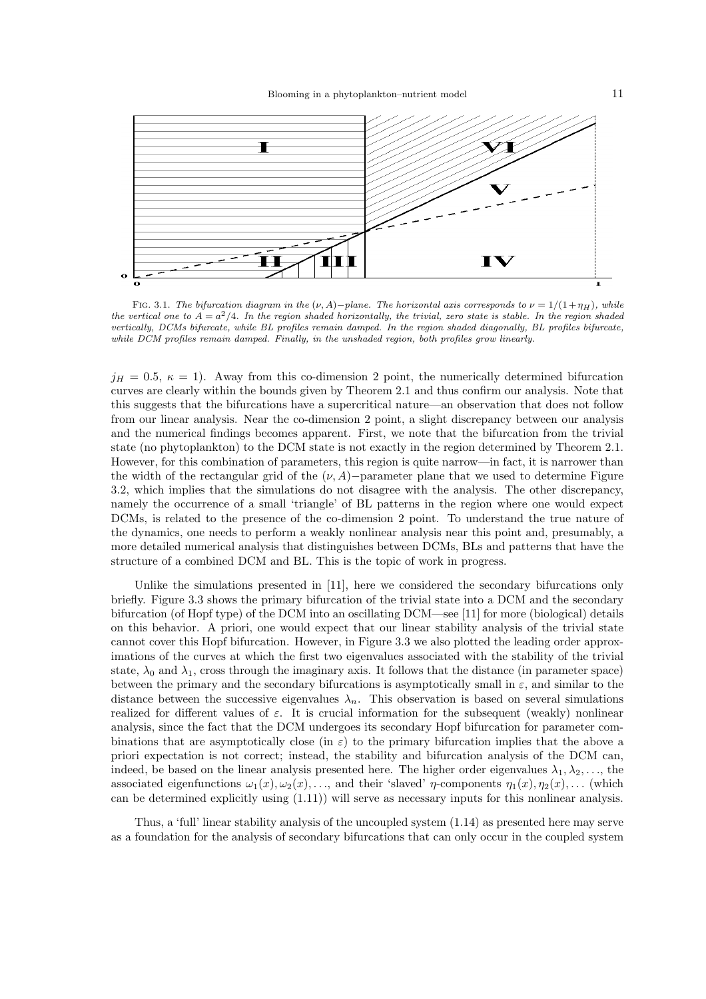

FIG. 3.1. The bifurcation diagram in the  $(\nu, A)-plane$ . The horizontal axis corresponds to  $\nu = 1/(1+\eta_H)$ , while the vertical one to  $A = a^2/4$ . In the region shaded horizontally, the trivial, zero state is stable. In the region shaded vertically, DCMs bifurcate, while BL profiles remain damped. In the region shaded diagonally, BL profiles bifurcate, while DCM profiles remain damped. Finally, in the unshaded region, both profiles grow linearly.

 $j_H = 0.5, \ \kappa = 1$ ). Away from this co-dimension 2 point, the numerically determined bifurcation curves are clearly within the bounds given by Theorem 2.1 and thus confirm our analysis. Note that this suggests that the bifurcations have a supercritical nature—an observation that does not follow from our linear analysis. Near the co-dimension 2 point, a slight discrepancy between our analysis and the numerical findings becomes apparent. First, we note that the bifurcation from the trivial state (no phytoplankton) to the DCM state is not exactly in the region determined by Theorem 2.1. However, for this combination of parameters, this region is quite narrow—in fact, it is narrower than the width of the rectangular grid of the  $(\nu, A)$ −parameter plane that we used to determine Figure 3.2, which implies that the simulations do not disagree with the analysis. The other discrepancy, namely the occurrence of a small 'triangle' of BL patterns in the region where one would expect DCMs, is related to the presence of the co-dimension 2 point. To understand the true nature of the dynamics, one needs to perform a weakly nonlinear analysis near this point and, presumably, a more detailed numerical analysis that distinguishes between DCMs, BLs and patterns that have the structure of a combined DCM and BL. This is the topic of work in progress.

Unlike the simulations presented in [11], here we considered the secondary bifurcations only briefly. Figure 3.3 shows the primary bifurcation of the trivial state into a DCM and the secondary bifurcation (of Hopf type) of the DCM into an oscillating DCM—see [11] for more (biological) details on this behavior. A priori, one would expect that our linear stability analysis of the trivial state cannot cover this Hopf bifurcation. However, in Figure 3.3 we also plotted the leading order approximations of the curves at which the first two eigenvalues associated with the stability of the trivial state,  $\lambda_0$  and  $\lambda_1$ , cross through the imaginary axis. It follows that the distance (in parameter space) between the primary and the secondary bifurcations is asymptotically small in  $\varepsilon$ , and similar to the distance between the successive eigenvalues  $\lambda_n$ . This observation is based on several simulations realized for different values of  $\varepsilon$ . It is crucial information for the subsequent (weakly) nonlinear analysis, since the fact that the DCM undergoes its secondary Hopf bifurcation for parameter combinations that are asymptotically close (in  $\varepsilon$ ) to the primary bifurcation implies that the above a priori expectation is not correct; instead, the stability and bifurcation analysis of the DCM can, indeed, be based on the linear analysis presented here. The higher order eigenvalues  $\lambda_1, \lambda_2, \ldots$ , the associated eigenfunctions  $\omega_1(x), \omega_2(x), \ldots$ , and their 'slaved'  $\eta$ -components  $\eta_1(x), \eta_2(x), \ldots$  (which can be determined explicitly using (1.11)) will serve as necessary inputs for this nonlinear analysis.

Thus, a 'full' linear stability analysis of the uncoupled system (1.14) as presented here may serve as a foundation for the analysis of secondary bifurcations that can only occur in the coupled system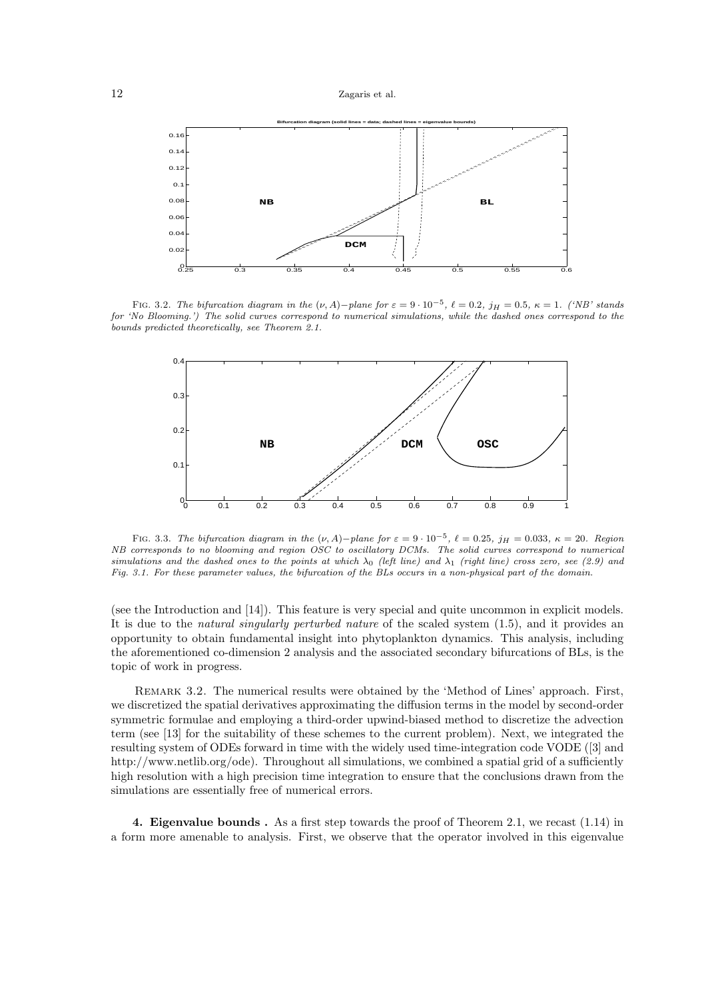

FIG. 3.2. The bifurcation diagram in the  $(\nu, A)-$ plane for  $\varepsilon = 9 \cdot 10^{-5}$ ,  $\ell = 0.2$ ,  $j_H = 0.5$ ,  $\kappa = 1$ . ('NB' stands for 'No Blooming.') The solid curves correspond to numerical simulations, while the dashed ones correspond to the bounds predicted theoretically, see Theorem 2.1.



FIG. 3.3. The bifurcation diagram in the  $(\nu, A)-$ plane for  $\varepsilon = 9 \cdot 10^{-5}$ ,  $\ell = 0.25$ ,  $j_H = 0.033$ ,  $\kappa = 20$ . Region NB corresponds to no blooming and region OSC to oscillatory DCMs. The solid curves correspond to numerical simulations and the dashed ones to the points at which  $\lambda_0$  (left line) and  $\lambda_1$  (right line) cross zero, see (2.9) and Fig. 3.1. For these parameter values, the bifurcation of the BLs occurs in a non-physical part of the domain.

(see the Introduction and [14]). This feature is very special and quite uncommon in explicit models. It is due to the natural singularly perturbed nature of the scaled system (1.5), and it provides an opportunity to obtain fundamental insight into phytoplankton dynamics. This analysis, including the aforementioned co-dimension 2 analysis and the associated secondary bifurcations of BLs, is the topic of work in progress.

Remark 3.2. The numerical results were obtained by the 'Method of Lines' approach. First, we discretized the spatial derivatives approximating the diffusion terms in the model by second-order symmetric formulae and employing a third-order upwind-biased method to discretize the advection term (see [13] for the suitability of these schemes to the current problem). Next, we integrated the resulting system of ODEs forward in time with the widely used time-integration code VODE ([3] and http://www.netlib.org/ode). Throughout all simulations, we combined a spatial grid of a sufficiently high resolution with a high precision time integration to ensure that the conclusions drawn from the simulations are essentially free of numerical errors.

4. Eigenvalue bounds . As a first step towards the proof of Theorem 2.1, we recast (1.14) in a form more amenable to analysis. First, we observe that the operator involved in this eigenvalue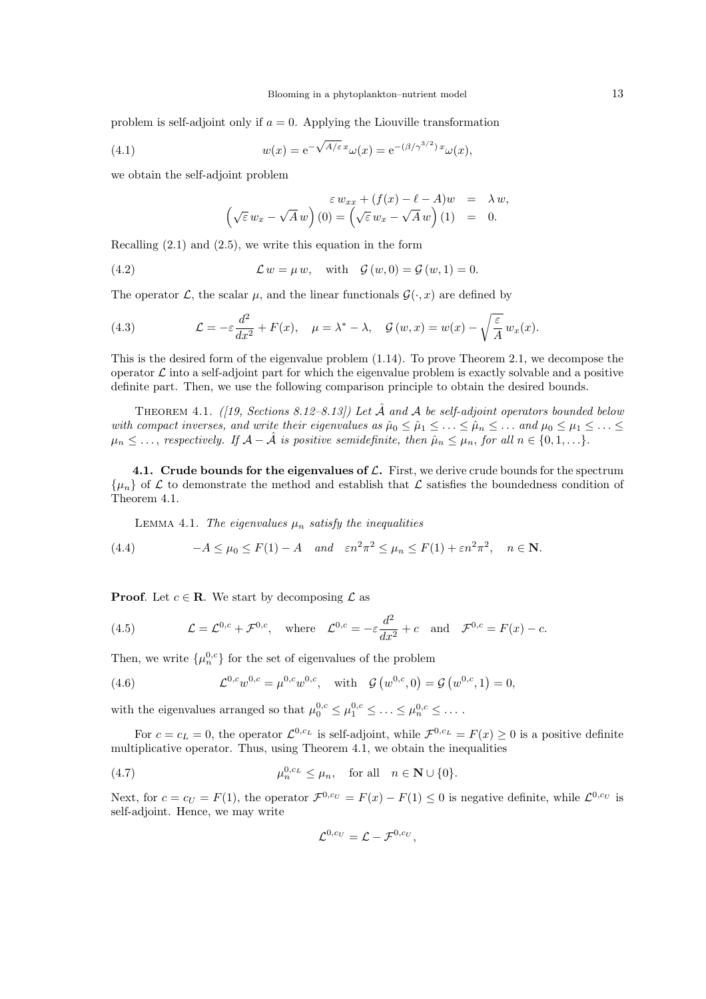problem is self-adjoint only if  $a = 0$ . Applying the Liouville transformation

(4.1) 
$$
w(x) = e^{-\sqrt{A/\varepsilon} x} \omega(x) = e^{-(\beta/\gamma^{3/2}) x} \omega(x),
$$

we obtain the self-adjoint problem

$$
\varepsilon w_{xx} + (f(x) - \ell - A)w = \lambda w,
$$
  

$$
(\sqrt{\varepsilon} w_x - \sqrt{A} w) (0) = (\sqrt{\varepsilon} w_x - \sqrt{A} w) (1) = 0.
$$

Recalling (2.1) and (2.5), we write this equation in the form

(4.2) 
$$
\mathcal{L} w = \mu w, \text{ with } \mathcal{G}(w, 0) = \mathcal{G}(w, 1) = 0.
$$

The operator  $\mathcal{L}$ , the scalar  $\mu$ , and the linear functionals  $\mathcal{G}(\cdot,x)$  are defined by

(4.3) 
$$
\mathcal{L} = -\varepsilon \frac{d^2}{dx^2} + F(x), \quad \mu = \lambda^* - \lambda, \quad \mathcal{G}(w, x) = w(x) - \sqrt{\frac{\varepsilon}{A}} w_x(x).
$$

This is the desired form of the eigenvalue problem (1.14). To prove Theorem 2.1, we decompose the operator  $\mathcal L$  into a self-adjoint part for which the eigenvalue problem is exactly solvable and a positive definite part. Then, we use the following comparison principle to obtain the desired bounds.

THEOREM 4.1. ([19, Sections 8.12–8.13]) Let  $\hat{\mathcal{A}}$  and  $\mathcal{A}$  be self-adjoint operators bounded below with compact inverses, and write their eigenvalues as  $\hat{\mu}_0 \leq \hat{\mu}_1 \leq \ldots \leq \hat{\mu}_n \leq \ldots$  and  $\mu_0 \leq \mu_1 \leq \ldots \leq \mu_n$  $\mu_n \leq \ldots$ , respectively. If  $\mathcal{A} - \hat{\mathcal{A}}$  is positive semidefinite, then  $\hat{\mu}_n \leq \mu_n$ , for all  $n \in \{0, 1, \ldots\}$ .

4.1. Crude bounds for the eigenvalues of  $\mathcal{L}$ . First, we derive crude bounds for the spectrum  $\{\mu_n\}$  of  $\mathcal L$  to demonstrate the method and establish that  $\mathcal L$  satisfies the boundedness condition of Theorem 4.1.

LEMMA 4.1. The eigenvalues  $\mu_n$  satisfy the inequalities

(4.4) 
$$
-A \le \mu_0 \le F(1) - A \quad \text{and} \quad \varepsilon n^2 \pi^2 \le \mu_n \le F(1) + \varepsilon n^2 \pi^2, \quad n \in \mathbb{N}.
$$

**Proof.** Let  $c \in \mathbb{R}$ . We start by decomposing  $\mathcal{L}$  as

(4.5) 
$$
\mathcal{L} = \mathcal{L}^{0,c} + \mathcal{F}^{0,c}
$$
, where  $\mathcal{L}^{0,c} = -\varepsilon \frac{d^2}{dx^2} + c$  and  $\mathcal{F}^{0,c} = F(x) - c$ .

Then, we write  $\{\mu_n^{0,c}\}$  for the set of eigenvalues of the problem

(4.6) 
$$
\mathcal{L}^{0,c}w^{0,c} = \mu^{0,c}w^{0,c}, \text{ with } \mathcal{G}(w^{0,c},0) = \mathcal{G}(w^{0,c},1) = 0,
$$

with the eigenvalues arranged so that  $\mu_0^{0,c} \leq \mu_1^{0,c} \leq \ldots \leq \mu_n^{0,c} \leq \ldots$ .

For  $c = c_L = 0$ , the operator  $\mathcal{L}^{0,c_L}$  is self-adjoint, while  $\mathcal{F}^{0,c_L} = F(x) \geq 0$  is a positive definite multiplicative operator. Thus, using Theorem 4.1, we obtain the inequalities

(4.7)  $\mu_n^{0, c_L} \leq \mu_n, \text{ for all } n \in \mathbb{N} \cup \{0\}.$ 

Next, for  $c = c_U = F(1)$ , the operator  $\mathcal{F}^{0, cv} = F(x) - F(1) \leq 0$  is negative definite, while  $\mathcal{L}^{0, cv}$  is self-adjoint. Hence, we may write

$$
\mathcal{L}^{0,c_U}=\mathcal{L}-\mathcal{F}^{0,c_U},
$$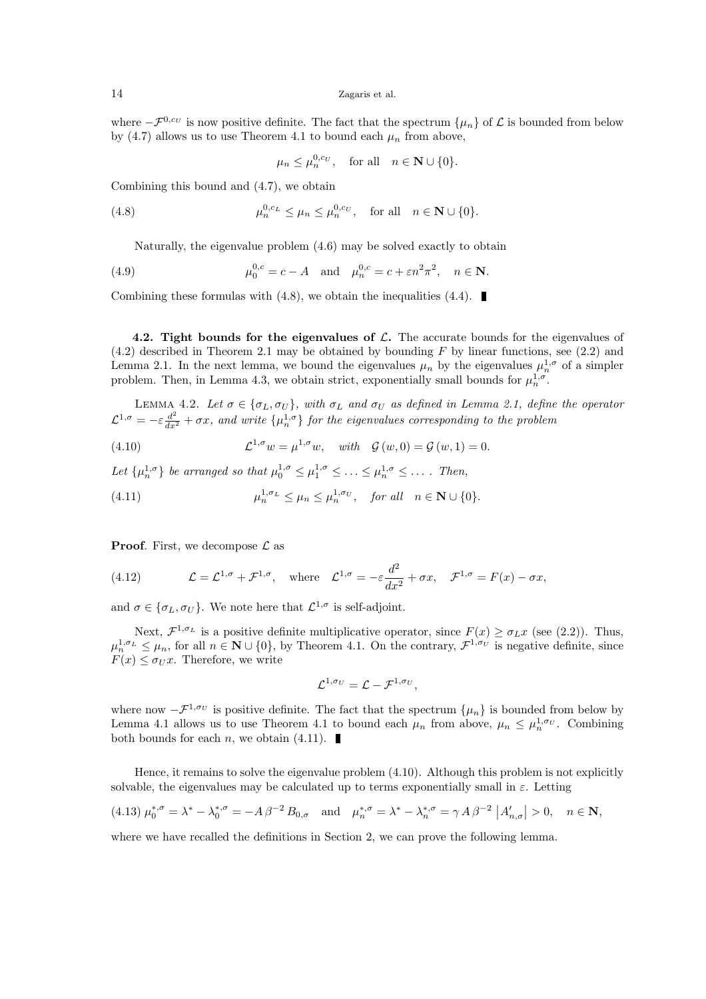where  $-\mathcal{F}^{0,c_U}$  is now positive definite. The fact that the spectrum  $\{\mu_n\}$  of  $\mathcal L$  is bounded from below by (4.7) allows us to use Theorem 4.1 to bound each  $\mu_n$  from above,

$$
\mu_n \le \mu_n^{0,c_U}
$$
, for all  $n \in \mathbb{N} \cup \{0\}$ .

Combining this bound and (4.7), we obtain

(4.8) 
$$
\mu_n^{0,c_L} \leq \mu_n \leq \mu_n^{0,c_U}, \quad \text{for all} \quad n \in \mathbf{N} \cup \{0\}.
$$

Naturally, the eigenvalue problem (4.6) may be solved exactly to obtain

(4.9) 
$$
\mu_0^{0,c} = c - A
$$
 and  $\mu_n^{0,c} = c + \varepsilon n^2 \pi^2$ ,  $n \in \mathbb{N}$ .

Combining these formulas with  $(4.8)$ , we obtain the inequalities  $(4.4)$ .

4.2. Tight bounds for the eigenvalues of  $\mathcal{L}$ . The accurate bounds for the eigenvalues of  $(4.2)$  described in Theorem 2.1 may be obtained by bounding F by linear functions, see  $(2.2)$  and Lemma 2.1. In the next lemma, we bound the eigenvalues  $\mu_n$  by the eigenvalues  $\mu_n^{1,\sigma}$  of a simpler problem. Then, in Lemma 4.3, we obtain strict, exponentially small bounds for  $\mu_n^{1,\sigma}$ .

LEMMA 4.2. Let  $\sigma \in {\{\sigma_L, \sigma_U\}}$ , with  $\sigma_L$  and  $\sigma_U$  as defined in Lemma 2.1, define the operator  $\mathcal{L}^{1,\sigma} = -\varepsilon \frac{d^2}{dx^2} + \sigma x$ , and write  $\{\mu_n^{1,\sigma}\}\$  for the eigenvalues corresponding to the problem

(4.10)  $\mathcal{L}^{1,\sigma} w = \mu^{1,\sigma} w, \text{ with } \mathcal{G}(w,0) = \mathcal{G}(w,1) = 0.$ 

Let  $\{\mu_n^{1,\sigma}\}\$  be arranged so that  $\mu_0^{1,\sigma} \leq \mu_1^{1,\sigma} \leq \ldots \leq \mu_n^{1,\sigma} \leq \ldots$ . Then,

(4.11) 
$$
\mu_n^{1,\sigma_L} \leq \mu_n \leq \mu_n^{1,\sigma_U}, \quad \text{for all} \quad n \in \mathbb{N} \cup \{0\}.
$$

**Proof.** First, we decompose  $\mathcal{L}$  as

(4.12) 
$$
\mathcal{L} = \mathcal{L}^{1,\sigma} + \mathcal{F}^{1,\sigma}, \text{ where } \mathcal{L}^{1,\sigma} = -\varepsilon \frac{d^2}{dx^2} + \sigma x, \mathcal{F}^{1,\sigma} = F(x) - \sigma x,
$$

and  $\sigma \in {\sigma_L, \sigma_U}$ . We note here that  $\mathcal{L}^{1,\sigma}$  is self-adjoint.

Next,  $\mathcal{F}^{1,\sigma_L}$  is a positive definite multiplicative operator, since  $F(x) \geq \sigma_L x$  (see (2.2)). Thus,  $\mu_n^{1,\sigma_L} \leq \mu_n$ , for all  $n \in \mathbb{N} \cup \{0\}$ , by Theorem 4.1. On the contrary,  $\mathcal{F}^{1,\sigma_U}$  is negative definite, since  $F(x) \leq \sigma_U x$ . Therefore, we write

$$
\mathcal{L}^{1,\sigma_U}=\mathcal{L}-\mathcal{F}^{1,\sigma_U},
$$

where now  $-\mathcal{F}^{1,\sigma_U}$  is positive definite. The fact that the spectrum  $\{\mu_n\}$  is bounded from below by Lemma 4.1 allows us to use Theorem 4.1 to bound each  $\mu_n$  from above,  $\mu_n \leq \mu_n^{1,\sigma_U}$ . Combining both bounds for each *n*, we obtain  $(4.11)$ .

Hence, it remains to solve the eigenvalue problem (4.10). Although this problem is not explicitly solvable, the eigenvalues may be calculated up to terms exponentially small in  $\varepsilon$ . Letting

$$
(4.13) \ \mu_0^{*,\sigma} = \lambda^* - \lambda_0^{*,\sigma} = -A\,\beta^{-2}\,B_{0,\sigma} \quad \text{and} \quad \mu_n^{*,\sigma} = \lambda^* - \lambda_n^{*,\sigma} = \gamma\,A\,\beta^{-2}\,\left|A'_{n,\sigma}\right| > 0, \quad n \in \mathbb{N},
$$

where we have recalled the definitions in Section 2, we can prove the following lemma.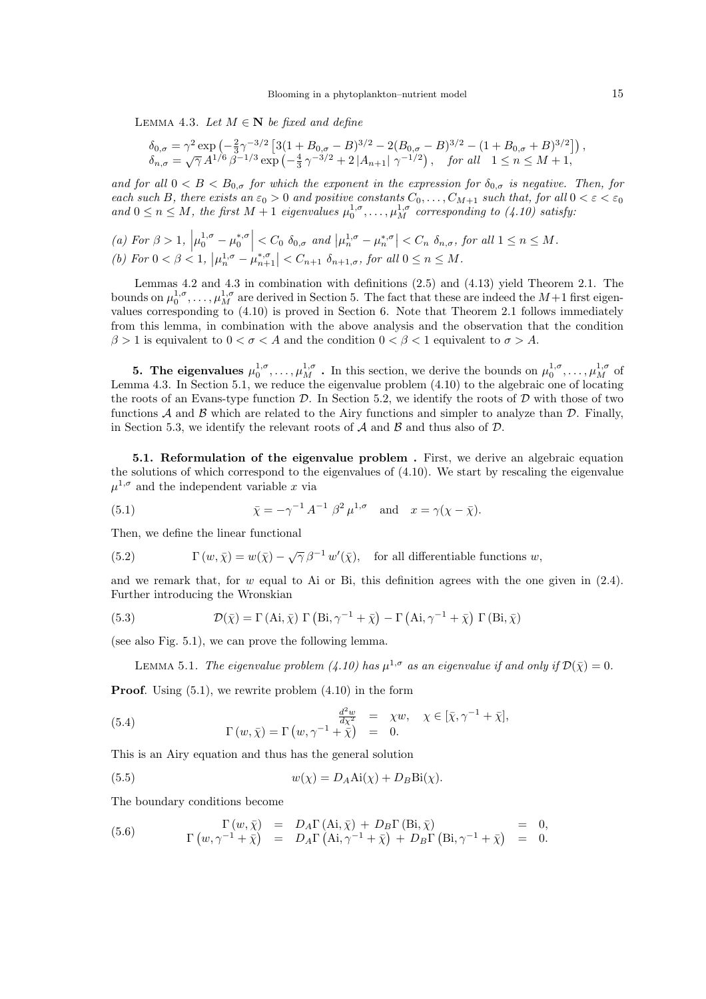LEMMA 4.3. Let  $M \in \mathbb{N}$  be fixed and define

$$
\begin{array}{l} \delta_{0,\sigma} = \gamma^2 \exp\left(-\frac{2}{3}\gamma^{-3/2} \left[3(1+B_{0,\sigma}-B)^{3/2} - 2(B_{0,\sigma}-B)^{3/2} - (1+B_{0,\sigma}+B)^{3/2}\right]\right), \\ \delta_{n,\sigma} = \sqrt{\gamma} \, A^{1/6} \, \beta^{-1/3} \exp\left(-\frac{4}{3}\, \gamma^{-3/2} + 2\, |A_{n+1}| \, \gamma^{-1/2}\right), \quad \textit{for all} \quad 1 \leq n \leq M+1, \end{array}
$$

and for all  $0 < B < B_{0,\sigma}$  for which the exponent in the expression for  $\delta_{0,\sigma}$  is negative. Then, for each such B, there exists an  $\varepsilon_0 > 0$  and positive constants  $C_0, \ldots, C_{M+1}$  such that, for all  $0 < \varepsilon < \varepsilon_0$ and  $0 \le n \le M$ , the first  $M + 1$  eigenvalues  $\mu_0^{1,\sigma}, \ldots, \mu_M^{1,\sigma}$  corresponding to  $(4.10)$  satisfy:

(a) For 
$$
\beta > 1
$$
,  $\left| \mu_0^{1,\sigma} - \mu_0^{*,\sigma} \right| < C_0 \, \delta_{0,\sigma}$  and  $\left| \mu_n^{1,\sigma} - \mu_n^{*,\sigma} \right| < C_n \, \delta_{n,\sigma}$ , for all  $1 \leq n \leq M$ . \n(b) For  $0 < \beta < 1$ ,  $\left| \mu_n^{1,\sigma} - \mu_{n+1}^{*,\sigma} \right| < C_{n+1} \, \delta_{n+1,\sigma}$ , for all  $0 \leq n \leq M$ .

Lemmas 4.2 and 4.3 in combination with definitions (2.5) and (4.13) yield Theorem 2.1. The bounds on  $\mu_0^{1,\sigma}, \ldots, \mu_M^{1,\sigma}$  are derived in Section 5. The fact that these are indeed the  $M+1$  first eigenvalues corresponding to (4.10) is proved in Section 6. Note that Theorem 2.1 follows immediately from this lemma, in combination with the above analysis and the observation that the condition  $\beta > 1$  is equivalent to  $0 < \sigma < A$  and the condition  $0 < \beta < 1$  equivalent to  $\sigma > A$ .

**5. The eigenvalues**  $\mu_0^{1,\sigma}, \ldots, \mu_M^{1,\sigma}$  . In this section, we derive the bounds on  $\mu_0^{1,\sigma}, \ldots, \mu_M^{1,\sigma}$  of Lemma 4.3. In Section 5.1, we reduce the eigenvalue problem (4.10) to the algebraic one of locating the roots of an Evans-type function  $\mathcal{D}$ . In Section 5.2, we identify the roots of  $\mathcal{D}$  with those of two functions  $\mathcal A$  and  $\mathcal B$  which are related to the Airy functions and simpler to analyze than  $\mathcal D$ . Finally, in Section 5.3, we identify the relevant roots of  $A$  and  $B$  and thus also of  $D$ .

5.1. Reformulation of the eigenvalue problem . First, we derive an algebraic equation the solutions of which correspond to the eigenvalues of  $(4.10)$ . We start by rescaling the eigenvalue  $\mu^{1,\sigma}$  and the independent variable x via

(5.1) 
$$
\bar{\chi} = -\gamma^{-1} A^{-1} \beta^2 \mu^{1,\sigma} \text{ and } x = \gamma(\chi - \bar{\chi}).
$$

Then, we define the linear functional

(5.2) 
$$
\Gamma(w,\bar{\chi}) = w(\bar{\chi}) - \sqrt{\gamma} \beta^{-1} w'(\bar{\chi}), \text{ for all differentiable functions } w,
$$

and we remark that, for  $w$  equal to Ai or Bi, this definition agrees with the one given in  $(2.4)$ . Further introducing the Wronskian

(5.3) 
$$
\mathcal{D}(\bar{\chi}) = \Gamma(\text{Ai}, \bar{\chi}) \Gamma(\text{Bi}, \gamma^{-1} + \bar{\chi}) - \Gamma(\text{Ai}, \gamma^{-1} + \bar{\chi}) \Gamma(\text{Bi}, \bar{\chi})
$$

(see also Fig. 5.1), we can prove the following lemma.

LEMMA 5.1. The eigenvalue problem (4.10) has  $\mu^{1,\sigma}$  as an eigenvalue if and only if  $\mathcal{D}(\bar{\chi}) = 0$ .

**Proof.** Using  $(5.1)$ , we rewrite problem  $(4.10)$  in the form

(5.4) 
$$
\Gamma(w,\bar{\chi}) = \Gamma(w,\gamma^{-1} + \bar{\chi}) = 0.
$$

$$
\Gamma(w,\bar{\chi}) = \Gamma(w,\gamma^{-1} + \bar{\chi}) = 0.
$$

This is an Airy equation and thus has the general solution

(5.5) 
$$
w(\chi) = D_A \text{Ai}(\chi) + D_B \text{Bi}(\chi).
$$

The boundary conditions become

(5.6) 
$$
\Gamma(w,\bar{\chi}) = D_A \Gamma(\text{Ai},\bar{\chi}) + D_B \Gamma(\text{Bi},\bar{\chi}) = 0, \n\Gamma(w,\gamma^{-1}+\bar{\chi}) = D_A \Gamma(\text{Ai},\gamma^{-1}+\bar{\chi}) + D_B \Gamma(\text{Bi},\gamma^{-1}+\bar{\chi}) = 0.
$$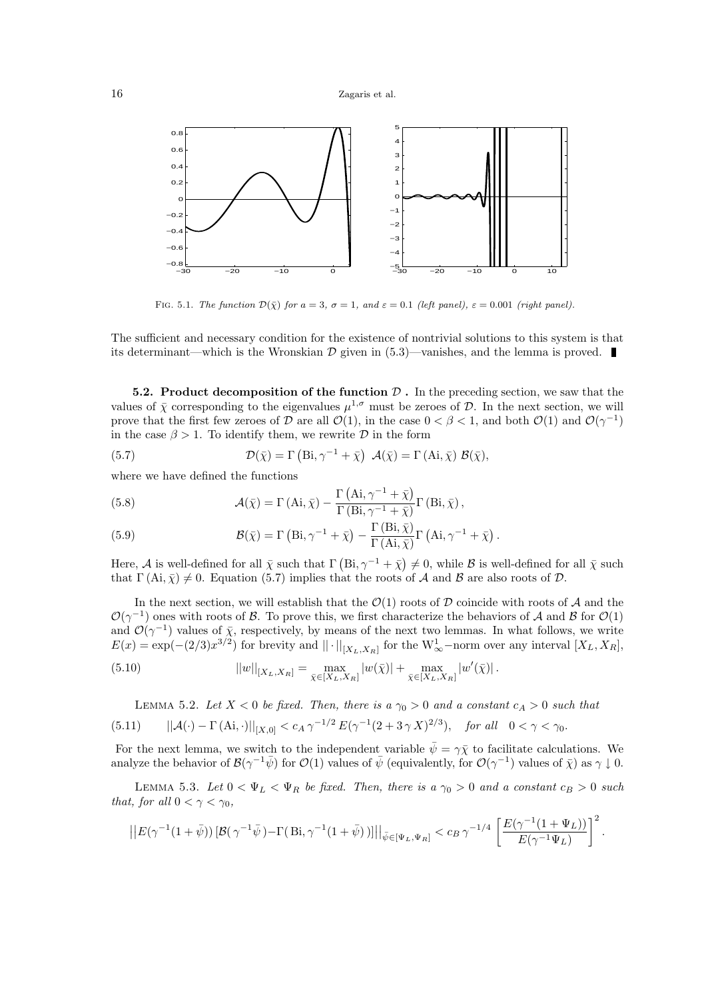

FIG. 5.1. The function  $\mathcal{D}(\bar{\chi})$  for  $a = 3$ ,  $\sigma = 1$ , and  $\varepsilon = 0.1$  (left panel),  $\varepsilon = 0.001$  (right panel).

The sufficient and necessary condition for the existence of nontrivial solutions to this system is that its determinant—which is the Wronskian  $\mathcal D$  given in (5.3)—vanishes, and the lemma is proved.

5.2. Product decomposition of the function  $\mathcal D$ . In the preceding section, we saw that the values of  $\bar{\chi}$  corresponding to the eigenvalues  $\mu^{1,\sigma}$  must be zeroes of D. In the next section, we will prove that the first few zeroes of  $D$  are all  $\mathcal{O}(1)$ , in the case  $0 < \beta < 1$ , and both  $\mathcal{O}(1)$  and  $\mathcal{O}(\gamma^{-1})$ in the case  $\beta > 1$ . To identify them, we rewrite  $\mathcal D$  in the form

(5.7) 
$$
\mathcal{D}(\bar{\chi}) = \Gamma\left(\mathrm{Bi}, \gamma^{-1} + \bar{\chi}\right) \mathcal{A}(\bar{\chi}) = \Gamma\left(\mathrm{Ai}, \bar{\chi}\right) \mathcal{B}(\bar{\chi}),
$$

where we have defined the functions

(5.8) 
$$
\mathcal{A}(\bar{\chi}) = \Gamma(\text{Ai}, \bar{\chi}) - \frac{\Gamma(\text{Ai}, \gamma^{-1} + \bar{\chi})}{\Gamma(\text{Bi}, \gamma^{-1} + \bar{\chi})} \Gamma(\text{Bi}, \bar{\chi}),
$$

(5.9) 
$$
\mathcal{B}(\bar{\chi}) = \Gamma\left(\text{Bi}, \gamma^{-1} + \bar{\chi}\right) - \frac{\Gamma\left(\text{Bi}, \bar{\chi}\right)}{\Gamma\left(\text{Ai}, \bar{\chi}\right)} \Gamma\left(\text{Ai}, \gamma^{-1} + \bar{\chi}\right).
$$

Here, A is well-defined for all  $\bar{\chi}$  such that  $\Gamma(\text{Bi},\gamma^{-1}+\bar{\chi})\neq 0$ , while B is well-defined for all  $\bar{\chi}$  such that  $\Gamma(\text{Ai}, \bar{\chi}) \neq 0$ . Equation (5.7) implies that the roots of A and B are also roots of D.

In the next section, we will establish that the  $\mathcal{O}(1)$  roots of  $\mathcal D$  coincide with roots of  $\mathcal A$  and the  $\mathcal{O}(\gamma^{-1})$  ones with roots of B. To prove this, we first characterize the behaviors of A and B for  $\mathcal{O}(1)$ and  $\mathcal{O}(\gamma^{-1})$  values of  $\bar{\chi}$ , respectively, by means of the next two lemmas. In what follows, we write  $E(x) = \exp(-(2/3)x^{3/2})$  for brevity and  $\|\cdot\|_{[X_L, X_R]}$  for the  $W^1_{\infty}$ -norm over any interval  $[X_L, X_R]$ ,

(5.10) 
$$
||w||_{[X_L, X_R]} = \max_{\bar{\chi} \in [X_L, X_R]} |w(\bar{\chi})| + \max_{\bar{\chi} \in [X_L, X_R]} |w'(\bar{\chi})|.
$$

LEMMA 5.2. Let  $X < 0$  be fixed. Then, there is a  $\gamma_0 > 0$  and a constant  $c_A > 0$  such that

$$
(5.11) \qquad ||\mathcal{A}(\cdot) - \Gamma(\mathbf{A}i, \cdot)||_{[X,0]} < c_A \,\gamma^{-1/2} \, E(\gamma^{-1}(2+3\,\gamma\,X)^{2/3}), \quad \text{for all} \quad 0 < \gamma < \gamma_0.
$$

For the next lemma, we switch to the independent variable  $\bar{\psi} = \gamma \bar{\chi}$  to facilitate calculations. We analyze the behavior of  $\mathcal{B}(\gamma^{-1}\bar{\psi})$  for  $\mathcal{O}(1)$  values of  $\bar{\psi}$  (equivalently, for  $\mathcal{O}(\gamma^{-1})$  values of  $\bar{\chi}$ ) as  $\gamma \downarrow 0$ .

LEMMA 5.3. Let  $0 < \Psi_L < \Psi_R$  be fixed. Then, there is a  $\gamma_0 > 0$  and a constant  $c_B > 0$  such that, for all  $0 < \gamma < \gamma_0$ ,

$$
\left|\left|E(\gamma^{-1}(1+\bar{\psi}))\left[\mathcal{B}(\gamma^{-1}\bar{\psi})-\Gamma(\, \text{Bi}, \gamma^{-1}(1+\bar{\psi})\,)\right]\right|\right|_{\bar{\psi}\in [\Psi_L, \Psi_R]} < c_B\, \gamma^{-1/4}\,\left[\frac{E(\gamma^{-1}(1+\Psi_L))}{E(\gamma^{-1}\Psi_L)}\right]^2.
$$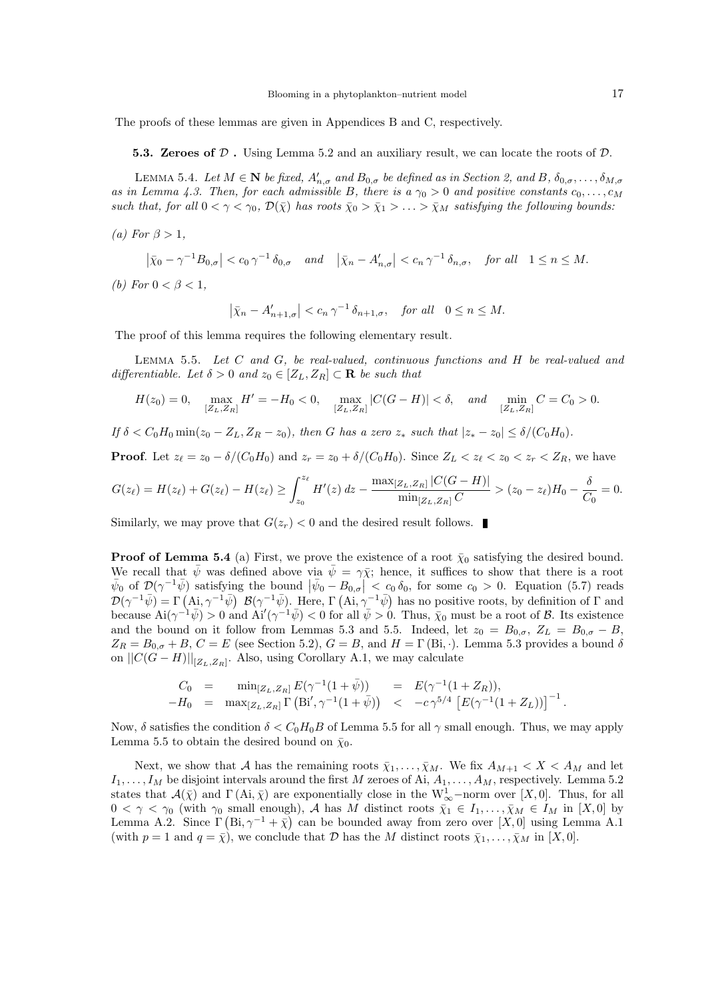The proofs of these lemmas are given in Appendices B and C, respectively.

5.3. Zeroes of  $D$ . Using Lemma 5.2 and an auxiliary result, we can locate the roots of  $D$ .

LEMMA 5.4. Let  $M \in \mathbb{N}$  be fixed,  $A'_{n,\sigma}$  and  $B_{0,\sigma}$  be defined as in Section 2, and B,  $\delta_{0,\sigma}, \ldots, \delta_{M,\sigma}$ as in Lemma 4.3. Then, for each admissible B, there is a  $\gamma_0 > 0$  and positive constants  $c_0, \ldots, c_M$ such that, for all  $0 < \gamma < \gamma_0$ ,  $\mathcal{D}(\bar{\chi})$  has roots  $\bar{\chi}_0 > \bar{\chi}_1 > \ldots > \bar{\chi}_M$  satisfying the following bounds:

(a) For  $\beta > 1$ ,

$$
\left|\bar{\chi}_0-\gamma^{-1}B_{0,\sigma}\right|
$$

(b) For  $0 < \beta < 1$ ,

$$
\left|\bar{\chi}_n - A'_{n+1,\sigma}\right| < c_n \,\gamma^{-1} \,\delta_{n+1,\sigma}, \quad \text{for all} \quad 0 \le n \le M.
$$

The proof of this lemma requires the following elementary result.

Lemma 5.5. Let C and G, be real-valued, continuous functions and H be real-valued and differentiable. Let  $\delta > 0$  and  $z_0 \in [Z_L, Z_R] \subset \mathbf{R}$  be such that

$$
H(z_0) = 0, \quad \max_{[Z_L, Z_R]} H' = -H_0 < 0, \quad \max_{[Z_L, Z_R]} |C(G - H)| < \delta, \quad \text{and} \quad \min_{[Z_L, Z_R]} C = C_0 > 0.
$$

If  $\delta < C_0 H_0 \min(z_0 - Z_L, Z_R - z_0)$ , then G has a zero  $z_*$  such that  $|z_* - z_0| \leq \delta/(C_0 H_0)$ .

**Proof.** Let  $z_{\ell} = z_0 - \delta/(C_0H_0)$  and  $z_r = z_0 + \delta/(C_0H_0)$ . Since  $Z_L < z_{\ell} < z_0 < z_r < Z_R$ , we have

$$
G(z_{\ell}) = H(z_{\ell}) + G(z_{\ell}) - H(z_{\ell}) \ge \int_{z_0}^{z_{\ell}} H'(z) dz - \frac{\max_{[Z_L, Z_R]} |C(G - H)|}{\min_{[Z_L, Z_R]} C} > (z_0 - z_{\ell}) H_0 - \frac{\delta}{C_0} = 0.
$$

Similarly, we may prove that  $G(z_r) < 0$  and the desired result follows.

**Proof of Lemma 5.4** (a) First, we prove the existence of a root  $\bar{\chi}_0$  satisfying the desired bound. We recall that  $\psi$  was defined above via  $\psi = \gamma \bar{\chi}$ ; hence, it suffices to show that there is a root  $\bar{\psi}_0$  of  $\mathcal{D}(\gamma^{-1}\bar{\psi})$  satisfying the bound  $|\bar{\psi}_0 - B_{0,\sigma}| < c_0 \delta_0$ , for some  $c_0 > 0$ . Equation (5.7) reads  $\mathcal{D}(\gamma^{-1}\bar{\psi}) = \Gamma\left(\text{Ai}, \gamma^{-1}\bar{\psi}\right) \mathcal{B}(\gamma^{-1}\bar{\psi})$ . Here,  $\Gamma\left(\text{Ai}, \gamma^{-1}\bar{\psi}\right)$  has no positive roots, by definition of  $\Gamma$  and because  $\text{Ai}(\gamma^{-1}\bar{\psi}) > 0$  and  $\text{Ai}'(\gamma^{-1}\bar{\psi}) < 0$  for all  $\bar{\psi} > 0$ . Thus,  $\bar{\chi}_0$  must be a root of  $\bar{\beta}$ . Its existence and the bound on it follow from Lemmas 5.3 and 5.5. Indeed, let  $z_0 = B_{0,\sigma}$ ,  $Z_L = B_{0,\sigma} - B$ ,  $Z_R = B_{0,\sigma} + B$ ,  $C = E$  (see Section 5.2),  $G = B$ , and  $H = \Gamma(Bi, \cdot)$ . Lemma 5.3 provides a bound δ on  $||C(G-H)||_{[Z_L,Z_R]}$ . Also, using Corollary A.1, we may calculate

$$
C_0 = \min_{[Z_L, Z_R]} E(\gamma^{-1}(1+\bar{\psi})) = E(\gamma^{-1}(1+Z_R)),
$$
  
-H\_0 = \max\_{[Z\_L, Z\_R]} \Gamma(\text{Bi}', \gamma^{-1}(1+\bar{\psi})) < -c \gamma^{5/4} [E(\gamma^{-1}(1+Z\_L))]^{-1} .

Now,  $\delta$  satisfies the condition  $\delta < C_0H_0B$  of Lemma 5.5 for all  $\gamma$  small enough. Thus, we may apply Lemma 5.5 to obtain the desired bound on  $\bar{\chi}_0$ .

Next, we show that A has the remaining roots  $\bar{\chi}_1,\ldots,\bar{\chi}_M$ . We fix  $A_{M+1} < X < A_M$  and let  $I_1,\ldots,I_M$  be disjoint intervals around the first M zeroes of Ai,  $A_1,\ldots,A_M$ , respectively. Lemma 5.2 states that  $\mathcal{A}(\bar{\chi})$  and  $\Gamma(Ai, \bar{\chi})$  are exponentially close in the  $W^1_{\infty}$ -norm over [X, 0]. Thus, for all  $0 < \gamma < \gamma_0$  (with  $\gamma_0$  small enough), A has M distinct roots  $\bar{\chi}_1 \in I_1, \ldots, \bar{\chi}_M \in I_M$  in [X,0] by Lemma A.2. Since  $\Gamma(\text{Bi}, \gamma^{-1} + \bar{\chi})$  can be bounded away from zero over [X,0] using Lemma A.1 (with  $p = 1$  and  $q = \overline{\chi}$ ), we conclude that D has the M distinct roots  $\overline{\chi}_1, \ldots, \overline{\chi}_M$  in [X, 0].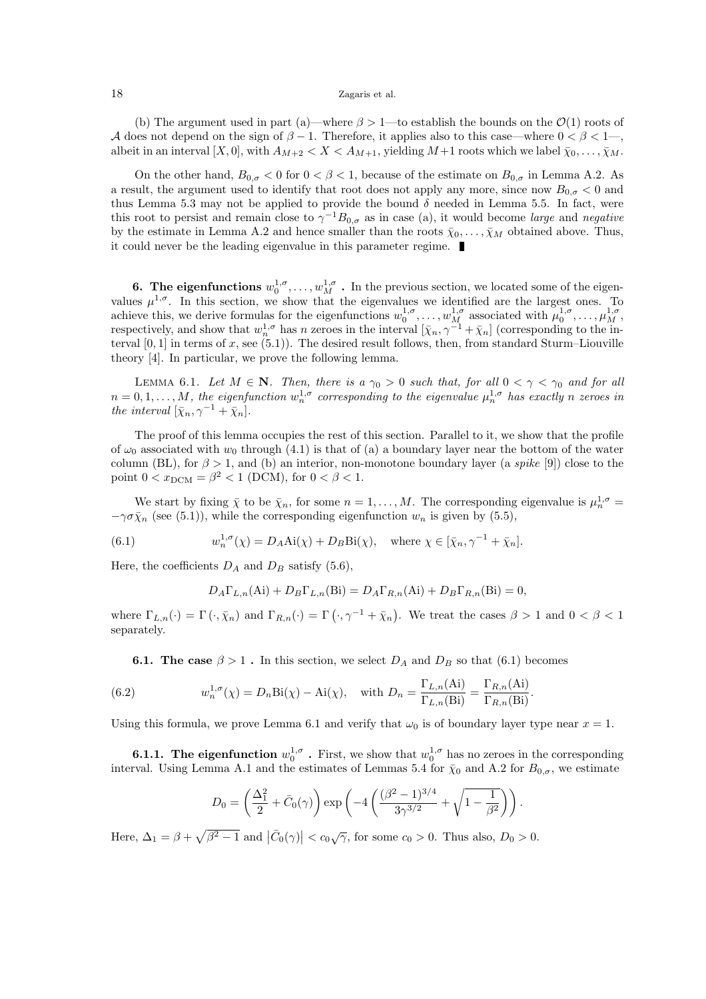(b) The argument used in part (a)—where  $\beta > 1$ —to establish the bounds on the  $\mathcal{O}(1)$  roots of A does not depend on the sign of  $\beta - 1$ . Therefore, it applies also to this case—where  $0 < \beta < 1$ —, albeit in an interval  $[X,0]$ , with  $A_{M+2} < X < A_{M+1}$ , yielding  $M+1$  roots which we label  $\bar{\chi}_0, \ldots, \bar{\chi}_M$ .

On the other hand,  $B_{0,\sigma} < 0$  for  $0 < \beta < 1$ , because of the estimate on  $B_{0,\sigma}$  in Lemma A.2. As a result, the argument used to identify that root does not apply any more, since now  $B_{0,\sigma} < 0$  and thus Lemma 5.3 may not be applied to provide the bound  $\delta$  needed in Lemma 5.5. In fact, were this root to persist and remain close to  $\gamma^{-1}B_{0,\sigma}$  as in case (a), it would become *large* and *negative* by the estimate in Lemma A.2 and hence smaller than the roots  $\bar{\chi}_0, \ldots, \bar{\chi}_M$  obtained above. Thus, it could never be the leading eigenvalue in this parameter regime.

**6.** The eigenfunctions  $w_0^{1,\sigma}, \ldots, w_M^{1,\sigma}$ . In the previous section, we located some of the eigenvalues  $\mu^{1,\sigma}$ . In this section, we show that the eigenvalues we identified are the largest ones. To achieve this, we derive formulas for the eigenfunctions  $w_0^{1,\sigma}, \ldots, w_M^{1,\sigma}$  associated with  $\mu_0^{1,\sigma}, \ldots, \mu_M^{1,\sigma}$ , respectively, and show that  $w_n^{1,\sigma}$  has n zeroes in the interval  $[\bar{\chi}_n, \gamma^{-1} + \bar{\chi}_n]$  (corresponding to the interval  $[0, 1]$  in terms of x, see  $(5.1)$ ). The desired result follows, then, from standard Sturm–Liouville theory [4]. In particular, we prove the following lemma.

LEMMA 6.1. Let  $M \in \mathbb{N}$ . Then, there is a  $\gamma_0 > 0$  such that, for all  $0 < \gamma < \gamma_0$  and for all  $n = 0, 1, \ldots, M$ , the eigenfunction  $w_n^{1,\sigma}$  corresponding to the eigenvalue  $\mu_n^{1,\sigma}$  has exactly n zeroes in the interval  $[\bar{\chi}_n, \gamma^{-1} + \bar{\chi}_n].$ 

The proof of this lemma occupies the rest of this section. Parallel to it, we show that the profile of  $\omega_0$  associated with  $w_0$  through (4.1) is that of (a) a boundary layer near the bottom of the water column (BL), for  $\beta > 1$ , and (b) an interior, non-monotone boundary layer (a spike [9]) close to the point  $0 < x_{\text{DCM}} = \beta^2 < 1$  (DCM), for  $0 < \beta < 1$ .

We start by fixing  $\bar{\chi}$  to be  $\bar{\chi}_n$ , for some  $n = 1, ..., M$ . The corresponding eigenvalue is  $\mu_n^{1,\sigma} =$  $-\gamma \sigma \bar{\chi}_n$  (see (5.1)), while the corresponding eigenfunction  $w_n$  is given by (5.5),

(6.1) 
$$
w_n^{1,\sigma}(\chi) = D_A \text{Ai}(\chi) + D_B \text{Bi}(\chi), \text{ where } \chi \in [\bar{\chi}_n, \gamma^{-1} + \bar{\chi}_n].
$$

Here, the coefficients  $D_A$  and  $D_B$  satisfy (5.6),

$$
D_A \Gamma_{L,n}(\mathbf{Ai}) + D_B \Gamma_{L,n}(\mathbf{Bi}) = D_A \Gamma_{R,n}(\mathbf{Ai}) + D_B \Gamma_{R,n}(\mathbf{Bi}) = 0,
$$

where  $\Gamma_{L,n}(\cdot) = \Gamma(\cdot, \bar{\chi}_n)$  and  $\Gamma_{R,n}(\cdot) = \Gamma(\cdot, \gamma^{-1} + \bar{\chi}_n)$ . We treat the cases  $\beta > 1$  and  $0 < \beta < 1$ separately.

**6.1.** The case  $\beta > 1$ . In this section, we select  $D_A$  and  $D_B$  so that (6.1) becomes

(6.2) 
$$
w_n^{1,\sigma}(\chi) = D_n \text{Bi}(\chi) - \text{Ai}(\chi), \text{ with } D_n = \frac{\Gamma_{L,n}(\text{Ai})}{\Gamma_{L,n}(\text{Bi})} = \frac{\Gamma_{R,n}(\text{Ai})}{\Gamma_{R,n}(\text{Bi})}.
$$

Using this formula, we prove Lemma 6.1 and verify that  $\omega_0$  is of boundary layer type near  $x = 1$ .

**6.1.1.** The eigenfunction  $w_0^{1,\sigma}$ . First, we show that  $w_0^{1,\sigma}$  has no zeroes in the corresponding interval. Using Lemma A.1 and the estimates of Lemmas 5.4 for  $\bar{\chi}_0$  and A.2 for  $B_{0,\sigma}$ , we estimate

$$
D_0 = \left(\frac{\Delta_1^2}{2} + \bar{C}_0(\gamma)\right) \exp\left(-4\left(\frac{(\beta^2 - 1)^{3/4}}{3\gamma^{3/2}} + \sqrt{1 - \frac{1}{\beta^2}}\right)\right).
$$

Here,  $\Delta_1 = \beta + \sqrt{\beta^2 - 1}$  and  $|\bar{C}_0(\gamma)| < c_0\sqrt{\gamma}$ , for some  $c_0 > 0$ . Thus also,  $D_0 > 0$ .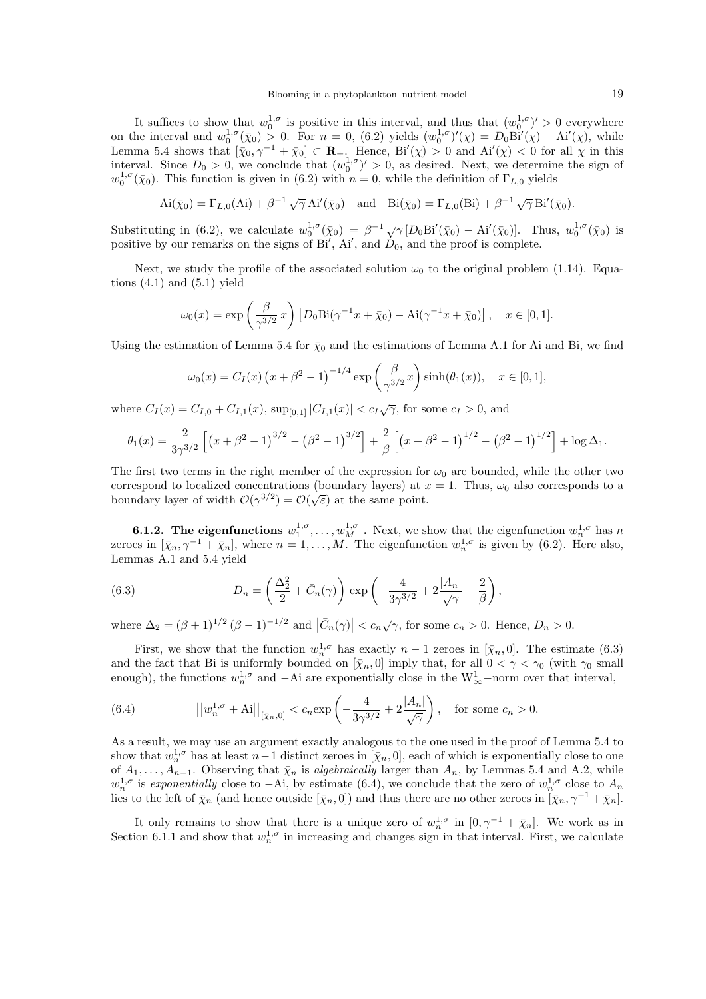It suffices to show that  $w_0^{1,\sigma}$  is positive in this interval, and thus that  $(w_0^{1,\sigma})' > 0$  everywhere on the interval and  $w_0^{1,\sigma}(\bar{x}_0) > 0$ . For  $n = 0$ , (6.2) yields  $(w_0^{1,\sigma})'(\chi) = D_0 \text{Bi}'(\chi) - \text{Ai}'(\chi)$ , while Lemma 5.4 shows that  $[\bar{\chi}_0, \gamma^{-1} + \bar{\chi}_0] \subset \mathbf{R}_+$ . Hence, Bi'( $\chi$ ) > 0 and Ai'( $\chi$ ) < 0 for all  $\chi$  in this interval. Since  $D_0 > 0$ , we conclude that  $(w_0^{1,\sigma})' > 0$ , as desired. Next, we determine the sign of  $w_0^{1, \sigma}(\bar{\chi}_0)$ . This function is given in (6.2) with  $n = 0$ , while the definition of  $\Gamma_{L,0}$  yields

$$
\mathrm{Ai}(\bar{\chi}_0) = \Gamma_{L,0}(\mathrm{Ai}) + \beta^{-1} \sqrt{\gamma} \,\mathrm{Ai}'(\bar{\chi}_0) \quad \text{and} \quad \mathrm{Bi}(\bar{\chi}_0) = \Gamma_{L,0}(\mathrm{Bi}) + \beta^{-1} \sqrt{\gamma} \,\mathrm{Bi}'(\bar{\chi}_0).
$$

Substituting in (6.2), we calculate  $w_0^{1,\sigma}(\bar{\chi}_0) = \beta^{-1} \sqrt{\gamma} [D_0 \text{Bi}'(\bar{\chi}_0) - \text{Ai}'(\bar{\chi}_0)]$ . Thus,  $w_0^{1,\sigma}(\bar{\chi}_0)$  is positive by our remarks on the signs of  $Bi'$ ,  $Ai'$ , and  $D_0$ , and the proof is complete.

Next, we study the profile of the associated solution  $\omega_0$  to the original problem (1.14). Equations  $(4.1)$  and  $(5.1)$  yield

$$
\omega_0(x) = \exp\left(\frac{\beta}{\gamma^{3/2}}x\right) \left[D_0 \text{Bi}(\gamma^{-1}x + \bar{\chi}_0) - \text{Ai}(\gamma^{-1}x + \bar{\chi}_0)\right], \quad x \in [0, 1].
$$

Using the estimation of Lemma 5.4 for  $\bar{\chi}_0$  and the estimations of Lemma A.1 for Ai and Bi, we find

$$
\omega_0(x) = C_I(x) (x + \beta^2 - 1)^{-1/4} \exp\left(\frac{\beta}{\gamma^{3/2}}x\right) \sinh(\theta_1(x)), \quad x \in [0, 1],
$$

where  $C_I(x) = C_{I,0} + C_{I,1}(x)$ ,  $\sup_{[0,1]} |C_{I,1}(x)| < c_I \sqrt{\gamma}$ , for some  $c_I > 0$ , and

$$
\theta_1(x) = \frac{2}{3\gamma^{3/2}} \left[ \left( x + \beta^2 - 1 \right)^{3/2} - \left( \beta^2 - 1 \right)^{3/2} \right] + \frac{2}{\beta} \left[ \left( x + \beta^2 - 1 \right)^{1/2} - \left( \beta^2 - 1 \right)^{1/2} \right] + \log \Delta_1.
$$

The first two terms in the right member of the expression for  $\omega_0$  are bounded, while the other two correspond to localized concentrations (boundary layers) at  $x = 1$ . Thus,  $\omega_0$  also corresponds to a boundary layer of width  $\mathcal{O}(\gamma^{3/2}) = \mathcal{O}(\sqrt{\varepsilon})$  at the same point.

**6.1.2.** The eigenfunctions  $w_1^{1,\sigma}, \ldots, w_M^{1,\sigma}$ . Next, we show that the eigenfunction  $w_n^{1,\sigma}$  has n zeroes in  $[\bar{\chi}_n, \gamma^{-1} + \bar{\chi}_n]$ , where  $n = 1, ..., M$ . The eigenfunction  $w_n^{1,\sigma}$  is given by (6.2). Here also, Lemmas A.1 and 5.4 yield

(6.3) 
$$
D_n = \left(\frac{\Delta_2^2}{2} + \bar{C}_n(\gamma)\right) \exp\left(-\frac{4}{3\gamma^{3/2}} + 2\frac{|A_n|}{\sqrt{\gamma}} - \frac{2}{\beta}\right),
$$

where  $\Delta_2 = (\beta + 1)^{1/2} (\beta - 1)^{-1/2}$  and  $|\bar{C}_n(\gamma)| < c_n \sqrt{\gamma}$ , for some  $c_n > 0$ . Hence,  $D_n > 0$ .

First, we show that the function  $w_n^{1,\sigma}$  has exactly  $n-1$  zeroes in  $[\bar{\chi}_n, 0]$ . The estimate (6.3) and the fact that Bi is uniformly bounded on  $[\bar{\chi}_n, 0]$  imply that, for all  $0 < \gamma < \gamma_0$  (with  $\gamma_0$  small enough), the functions  $w_n^{1,\sigma}$  and  $-Ai$  are exponentially close in the  $W^1_{\infty}$ -norm over that interval,

(6.4) 
$$
||w_n^{1,\sigma} + A||_{[\bar{\chi}_n,0]} < c_n \exp\left(-\frac{4}{3\gamma^{3/2}} + 2\frac{|A_n|}{\sqrt{\gamma}}\right), \text{ for some } c_n > 0.
$$

As a result, we may use an argument exactly analogous to the one used in the proof of Lemma 5.4 to show that  $w_n^{1,\sigma}$  has at least  $n-1$  distinct zeroes in  $[\bar{\chi}_n, 0]$ , each of which is exponentially close to one of  $A_1, \ldots, A_{n-1}$ . Observing that  $\bar{\chi}_n$  is algebraically larger than  $A_n$ , by Lemmas 5.4 and A.2, while  $w_n^{1,\sigma}$  is exponentially close to  $-Ai$ , by estimate (6.4), we conclude that the zero of  $w_n^{1,\sigma}$  close to  $A_n$ lies to the left of  $\bar{\chi}_n$  (and hence outside  $[\bar{\chi}_n, 0]$ ) and thus there are no other zeroes in  $[\bar{\chi}_n, \gamma^{-1} + \bar{\chi}_n]$ .

It only remains to show that there is a unique zero of  $w_n^{1,\sigma}$  in  $[0,\gamma^{-1}+\bar{\chi}_n]$ . We work as in Section 6.1.1 and show that  $w_n^{1,\sigma}$  in increasing and changes sign in that interval. First, we calculate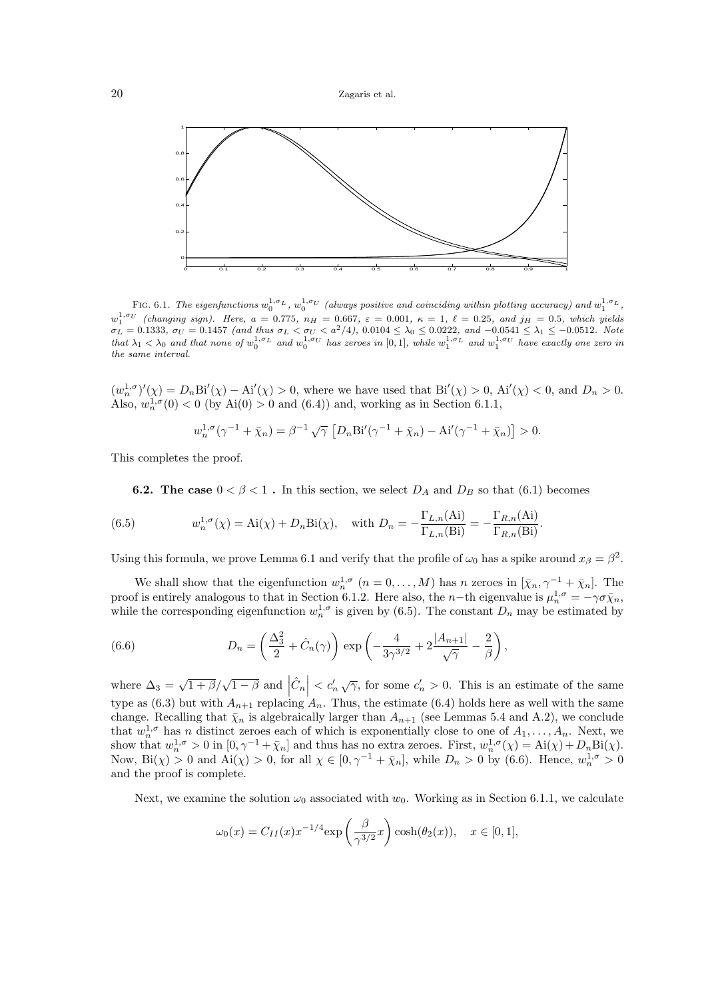

FIG. 6.1. The eigenfunctions  $w_0^{1,\sigma_L}$ ,  $w_0^{1,\sigma_U}$  (always positive and coinciding within plotting accuracy) and  $w_1^{1,\sigma_L}$ ,  $w_1^{1,\sigma_U}$  (changing sign). Here,  $a = 0.775$ ,  $n_H = 0.667$ ,  $\varepsilon = 0.001$ ,  $\kappa = 1$ ,  $\ell = 0.25$ , and  $j_H = 0.5$ , which yields  $\sigma_L = 0.1333$ ,  $\sigma_U = 0.1457$  (and thus  $\sigma_L < \sigma_U < a^2/4$ ),  $0.0104 \leq \lambda_0 \leq 0.0222$ , and  $-0.0541 \leq \lambda_1 \leq -0.0512$ . Note that  $\lambda_1 < \lambda_0$  and that none of  $w_0^{1,\sigma_L}$  and  $w_0^{1,\sigma_U}$  has zeroes in [0,1], while  $w_1^{1,\sigma_L}$  and  $w_1^{1,\sigma_U}$  have exactly one zero in the same interval.

 $(w_n^{1,\sigma})'(\chi) = D_n \text{Bi}'(\chi) - \text{Ai}'(\chi) > 0$ , where we have used that  $\text{Bi}'(\chi) > 0$ ,  $\text{Ai}'(\chi) < 0$ , and  $D_n > 0$ . Also,  $w_n^{1,\sigma}(0) < 0$  (by Ai $(0) > 0$  and  $(6.4)$ ) and, working as in Section 6.1.1,

$$
w_n^{1,\sigma}(\gamma^{-1} + \bar{\chi}_n) = \beta^{-1} \sqrt{\gamma} \left[ D_n \text{Bi}'(\gamma^{-1} + \bar{\chi}_n) - \text{Ai}'(\gamma^{-1} + \bar{\chi}_n) \right] > 0.
$$

This completes the proof.

**6.2.** The case  $0 < \beta < 1$ . In this section, we select  $D_A$  and  $D_B$  so that (6.1) becomes

(6.5) 
$$
w_n^{1,\sigma}(\chi) = \text{Ai}(\chi) + D_n \text{Bi}(\chi), \text{ with } D_n = -\frac{\Gamma_{L,n}(\text{Ai})}{\Gamma_{L,n}(\text{Bi})} = -\frac{\Gamma_{R,n}(\text{Ai})}{\Gamma_{R,n}(\text{Bi})}.
$$

Using this formula, we prove Lemma 6.1 and verify that the profile of  $\omega_0$  has a spike around  $x_\beta = \beta^2$ .

We shall show that the eigenfunction  $w_n^{1,\sigma}$   $(n = 0, \ldots, M)$  has n zeroes in  $[\bar{\chi}_n, \gamma^{-1} + \bar{\chi}_n]$ . The proof is entirely analogous to that in Section 6.1.2. Here also, the n-th eigenvalue is  $\mu_n^{1,\sigma} = -\gamma \sigma \bar{\chi}_n$ , while the corresponding eigenfunction  $w_n^{1,\sigma}$  is given by (6.5). The constant  $D_n$  may be estimated by

(6.6) 
$$
D_n = \left(\frac{\Delta_3^2}{2} + \hat{C}_n(\gamma)\right) \exp\left(-\frac{4}{3\gamma^{3/2}} + 2\frac{|A_{n+1}|}{\sqrt{\gamma}} - \frac{2}{\beta}\right),
$$

where  $\Delta_3 = \sqrt{1+\beta}/\sqrt{1-\beta}$  and  $|\hat{C}_n| < c'_n \sqrt{\gamma}$ , for some  $c'_n > 0$ . This is an estimate of the same type as (6.3) but with  $A_{n+1}$  replacing  $A_n$ . Thus, the estimate (6.4) holds here as well with the same change. Recalling that  $\bar{\chi}_n$  is algebraically larger than  $A_{n+1}$  (see Lemmas 5.4 and A.2), we conclude that  $w_n^{1,\sigma}$  has n distinct zeroes each of which is exponentially close to one of  $A_1,\ldots,A_n$ . Next, we show that  $w_n^{1,\sigma} > 0$  in  $[0, \gamma^{-1} + \bar{\chi}_n]$  and thus has no extra zeroes. First,  $w_n^{1,\sigma}(\chi) = Ai(\chi) + D_n Bi(\chi)$ . Now,  $\text{Bi}(\chi) > 0$  and  $\text{Ai}(\chi) > 0$ , for all  $\chi \in [0, \gamma^{-1} + \bar{\chi}_n]$ , while  $D_n > 0$  by (6.6). Hence,  $w_n^{1, \sigma} > 0$ and the proof is complete.

Next, we examine the solution  $\omega_0$  associated with  $w_0$ . Working as in Section 6.1.1, we calculate

$$
\omega_0(x) = C_{II}(x)x^{-1/4}\exp\left(\frac{\beta}{\gamma^{3/2}}x\right)\cosh(\theta_2(x)), \quad x \in [0,1],
$$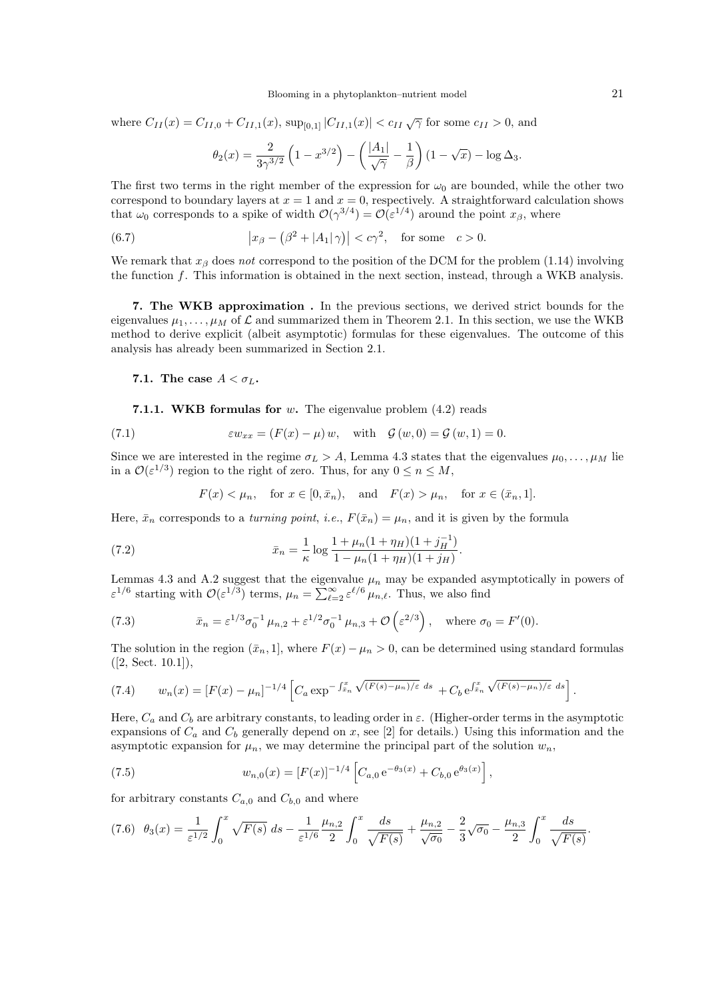where  $C_{II}(x) = C_{II,0} + C_{II,1}(x)$ ,  $\sup_{[0,1]} |C_{II,1}(x)| < c_{II} \sqrt{\gamma}$  for some  $c_{II} > 0$ , and

$$
\theta_2(x) = \frac{2}{3\gamma^{3/2}} \left( 1 - x^{3/2} \right) - \left( \frac{|A_1|}{\sqrt{\gamma}} - \frac{1}{\beta} \right) (1 - \sqrt{x}) - \log \Delta_3.
$$

The first two terms in the right member of the expression for  $\omega_0$  are bounded, while the other two correspond to boundary layers at  $x = 1$  and  $x = 0$ , respectively. A straightforward calculation shows that  $\omega_0$  corresponds to a spike of width  $\mathcal{O}(\gamma^{3/4}) = \mathcal{O}(\varepsilon^{1/4})$  around the point  $x_\beta$ , where

(6.7) 
$$
\left| x_{\beta} - \left( \beta^2 + |A_1| \gamma \right) \right| < c\gamma^2, \quad \text{for some} \quad c > 0.
$$

We remark that  $x_\beta$  does not correspond to the position of the DCM for the problem (1.14) involving the function f. This information is obtained in the next section, instead, through a WKB analysis.

7. The WKB approximation . In the previous sections, we derived strict bounds for the eigenvalues  $\mu_1,\ldots,\mu_M$  of  $\mathcal L$  and summarized them in Theorem 2.1. In this section, we use the WKB method to derive explicit (albeit asymptotic) formulas for these eigenvalues. The outcome of this analysis has already been summarized in Section 2.1.

7.1. The case  $A < \sigma_L$ .

7.1.1. WKB formulas for  $w$ . The eigenvalue problem  $(4.2)$  reads

(7.1) 
$$
\varepsilon w_{xx} = (F(x) - \mu) w, \text{ with } \mathcal{G}(w, 0) = \mathcal{G}(w, 1) = 0.
$$

Since we are interested in the regime  $\sigma_L > A$ , Lemma 4.3 states that the eigenvalues  $\mu_0, \ldots, \mu_M$  lie in a  $\mathcal{O}(\varepsilon^{1/3})$  region to the right of zero. Thus, for any  $0 \le n \le M$ ,

$$
F(x) < \mu_n, \quad \text{for } x \in [0, \bar{x}_n), \quad \text{and} \quad F(x) > \mu_n, \quad \text{for } x \in (\bar{x}_n, 1].
$$

Here,  $\bar{x}_n$  corresponds to a *turning point, i.e.,*  $F(\bar{x}_n) = \mu_n$ , and it is given by the formula

(7.2) 
$$
\bar{x}_n = \frac{1}{\kappa} \log \frac{1 + \mu_n (1 + \eta_H)(1 + j_H^{-1})}{1 - \mu_n (1 + \eta_H)(1 + j_H)}.
$$

Lemmas 4.3 and A.2 suggest that the eigenvalue  $\mu_n$  may be expanded asymptotically in powers of  $\varepsilon^{1/6}$  starting with  $\mathcal{O}(\varepsilon^{1/3})$  terms,  $\mu_n = \sum_{\ell=2}^{\infty} \varepsilon^{\ell/6} \mu_{n,\ell}$ . Thus, we also find

(7.3) 
$$
\bar{x}_n = \varepsilon^{1/3} \sigma_0^{-1} \mu_{n,2} + \varepsilon^{1/2} \sigma_0^{-1} \mu_{n,3} + \mathcal{O}\left(\varepsilon^{2/3}\right), \text{ where } \sigma_0 = F'(0).
$$

The solution in the region  $(\bar{x}_n, 1]$ , where  $F(x) - \mu_n > 0$ , can be determined using standard formulas  $([2, Sect. 10.1]),$ 

$$
(7.4) \t w_n(x) = [F(x) - \mu_n]^{-1/4} \left[ C_a \exp^{-\int_{\bar{x}_n}^x \sqrt{(F(s) - \mu_n)/\varepsilon} ds} + C_b e^{\int_{\bar{x}_n}^x \sqrt{(F(s) - \mu_n)/\varepsilon} ds} \right].
$$

Here,  $C_a$  and  $C_b$  are arbitrary constants, to leading order in  $\varepsilon$ . (Higher-order terms in the asymptotic expansions of  $C_a$  and  $C_b$  generally depend on x, see [2] for details.) Using this information and the asymptotic expansion for  $\mu_n$ , we may determine the principal part of the solution  $w_n$ ,

(7.5) 
$$
w_{n,0}(x) = [F(x)]^{-1/4} \left[ C_{a,0} e^{-\theta_3(x)} + C_{b,0} e^{\theta_3(x)} \right],
$$

for arbitrary constants  $C_{a,0}$  and  $C_{b,0}$  and where

$$
(7.6) \quad \theta_3(x) = \frac{1}{\varepsilon^{1/2}} \int_0^x \sqrt{F(s)} \, ds - \frac{1}{\varepsilon^{1/6}} \frac{\mu_{n,2}}{2} \int_0^x \frac{ds}{\sqrt{F(s)}} + \frac{\mu_{n,2}}{\sqrt{\sigma_0}} - \frac{2}{3} \sqrt{\sigma_0} - \frac{\mu_{n,3}}{2} \int_0^x \frac{ds}{\sqrt{F(s)}}.
$$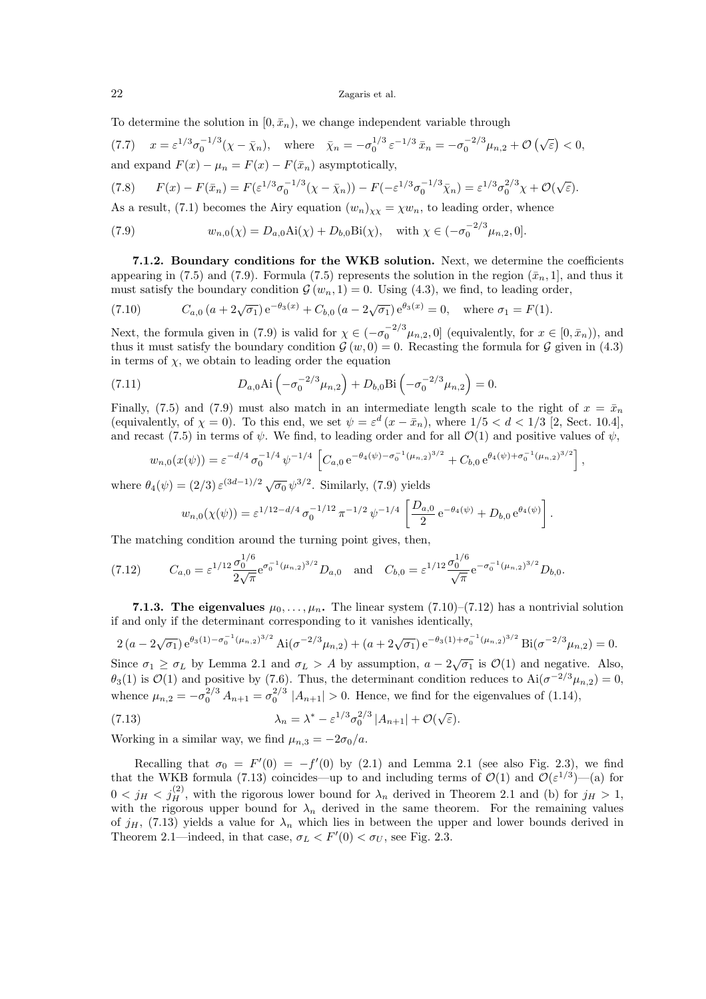To determine the solution in  $[0, \bar{x}_n)$ , we change independent variable through

(7.7)  $x = \varepsilon^{1/3} \sigma_0^{-1/3} (\chi - \bar{\chi}_n)$ , where  $\bar{\chi}_n = -\sigma_0^{-1/3} \varepsilon^{-1/3} \bar{x}_n = -\sigma_0^{-2/3} \mu_{n,2} + \mathcal{O}(\sqrt{\varepsilon}) < 0$ , and expand  $F(x) - \mu_n = F(x) - F(\bar{x}_n)$  asymptotically,

$$
(7.8) \tF(x) - F(\bar{x}_n) = F(\varepsilon^{1/3}\sigma_0^{-1/3}(\chi - \bar{\chi}_n)) - F(-\varepsilon^{1/3}\sigma_0^{-1/3}\bar{\chi}_n) = \varepsilon^{1/3}\sigma_0^{2/3}\chi + \mathcal{O}(\sqrt{\varepsilon}).
$$

As a result, (7.1) becomes the Airy equation  $(w_n)_{xx} = \chi w_n$ , to leading order, whence

(7.9) 
$$
w_{n,0}(\chi) = D_{a,0} \text{Ai}(\chi) + D_{b,0} \text{Bi}(\chi), \text{ with } \chi \in (-\sigma_0^{-2/3} \mu_{n,2}, 0].
$$

7.1.2. Boundary conditions for the WKB solution. Next, we determine the coefficients appearing in (7.5) and (7.9). Formula (7.5) represents the solution in the region  $(\bar{x}_n, 1]$ , and thus it must satisfy the boundary condition  $\mathcal{G}(w_n, 1) = 0$ . Using (4.3), we find, to leading order,

(7.10) 
$$
C_{a,0} (a + 2\sqrt{\sigma_1}) e^{-\theta_3(x)} + C_{b,0} (a - 2\sqrt{\sigma_1}) e^{\theta_3(x)} = 0, \text{ where } \sigma_1 = F(1).
$$

Next, the formula given in (7.9) is valid for  $\chi \in (-\sigma_0^{-2/3} \mu_{n,2}, 0]$  (equivalently, for  $x \in [0, \bar{x}_n)$ ), and thus it must satisfy the boundary condition  $\mathcal{G}(w, 0) = 0$ . Recasting the formula for  $\mathcal{G}$  given in (4.3) in terms of  $\chi$ , we obtain to leading order the equation

(7.11) 
$$
D_{a,0} \text{Ai}\left(-\sigma_0^{-2/3} \mu_{n,2}\right) + D_{b,0} \text{Bi}\left(-\sigma_0^{-2/3} \mu_{n,2}\right) = 0.
$$

Finally, (7.5) and (7.9) must also match in an intermediate length scale to the right of  $x = \bar{x}_n$ (equivalently, of  $\chi = 0$ ). To this end, we set  $\psi = \varepsilon^d (x - \bar{x}_n)$ , where  $1/5 < d < 1/3$  [2, Sect. 10.4], and recast (7.5) in terms of  $\psi$ . We find, to leading order and for all  $\mathcal{O}(1)$  and positive values of  $\psi$ ,

$$
w_{n,0}(x(\psi)) = \varepsilon^{-d/4} \sigma_0^{-1/4} \psi^{-1/4} \left[ C_{a,0} e^{-\theta_4(\psi) - \sigma_0^{-1} (\mu_{n,2})^{3/2}} + C_{b,0} e^{\theta_4(\psi) + \sigma_0^{-1} (\mu_{n,2})^{3/2}} \right],
$$

where  $\theta_4(\psi) = (2/3) \,\varepsilon^{(3d-1)/2} \sqrt{\sigma_0} \,\psi^{3/2}$ . Similarly, (7.9) yields

$$
w_{n,0}(\chi(\psi)) = \varepsilon^{1/12 - d/4} \sigma_0^{-1/12} \pi^{-1/2} \psi^{-1/4} \left[ \frac{D_{a,0}}{2} e^{-\theta_4(\psi)} + D_{b,0} e^{\theta_4(\psi)} \right].
$$

The matching condition around the turning point gives, then,

$$
(7.12) \tC_{a,0} = \varepsilon^{1/12} \frac{\sigma_0^{1/6}}{2\sqrt{\pi}} e^{\sigma_0^{-1}(\mu_{n,2})^{3/2}} D_{a,0} \text{ and } C_{b,0} = \varepsilon^{1/12} \frac{\sigma_0^{1/6}}{\sqrt{\pi}} e^{-\sigma_0^{-1}(\mu_{n,2})^{3/2}} D_{b,0}.
$$

7.1.3. The eigenvalues  $\mu_0, \ldots, \mu_n$ . The linear system (7.10)–(7.12) has a nontrivial solution if and only if the determinant corresponding to it vanishes identically,

$$
2\left(a-2\sqrt{\sigma_1}\right)e^{\theta_3(1)-\sigma_0^{-1}(\mu_{n,2})^{3/2}}\operatorname{Ai}(\sigma^{-2/3}\mu_{n,2}) + \left(a+2\sqrt{\sigma_1}\right)e^{-\theta_3(1)+\sigma_0^{-1}(\mu_{n,2})^{3/2}}\operatorname{Bi}(\sigma^{-2/3}\mu_{n,2}) = 0.
$$
  
Since  $\sigma_1 \ge \sigma_L$  by Lemma 2.1 and  $\sigma_L > A$  by assumption,  $a-2\sqrt{\sigma_1}$  is  $\mathcal{O}(1)$  and negative. Also,  $\theta_3(1)$  is  $\mathcal{O}(1)$  and positive by (7.6). Thus, the determinant condition reduces to  $\operatorname{Ai}(\sigma^{-2/3}\mu_{n,2}) = 0$ , whence  $\mu_{n,2} = -\sigma_0^{2/3} A_{n+1} = \sigma_0^{2/3} |A_{n+1}| > 0$ . Hence, we find for the eigenvalues of (1.14),

(7.13) 
$$
\lambda_n = \lambda^* - \varepsilon^{1/3} \sigma_0^{2/3} |A_{n+1}| + \mathcal{O}(\sqrt{\varepsilon}).
$$

Working in a similar way, we find  $\mu_{n,3} = -2\sigma_0/a$ .

Recalling that  $\sigma_0 = F'(0) = -f'(0)$  by (2.1) and Lemma 2.1 (see also Fig. 2.3), we find that the WKB formula (7.13) coincides—up to and including terms of  $\mathcal{O}(1)$  and  $\mathcal{O}(\varepsilon^{1/3})$ —(a) for  $0 < j_H < j_H^{(2)}$ , with the rigorous lower bound for  $\lambda_n$  derived in Theorem 2.1 and (b) for  $j_H > 1$ , with the rigorous upper bound for  $\lambda_n$  derived in the same theorem. For the remaining values of  $j_H$ , (7.13) yields a value for  $\lambda_n$  which lies in between the upper and lower bounds derived in Theorem 2.1—indeed, in that case,  $\sigma_L < F'(0) < \sigma_U$ , see Fig. 2.3.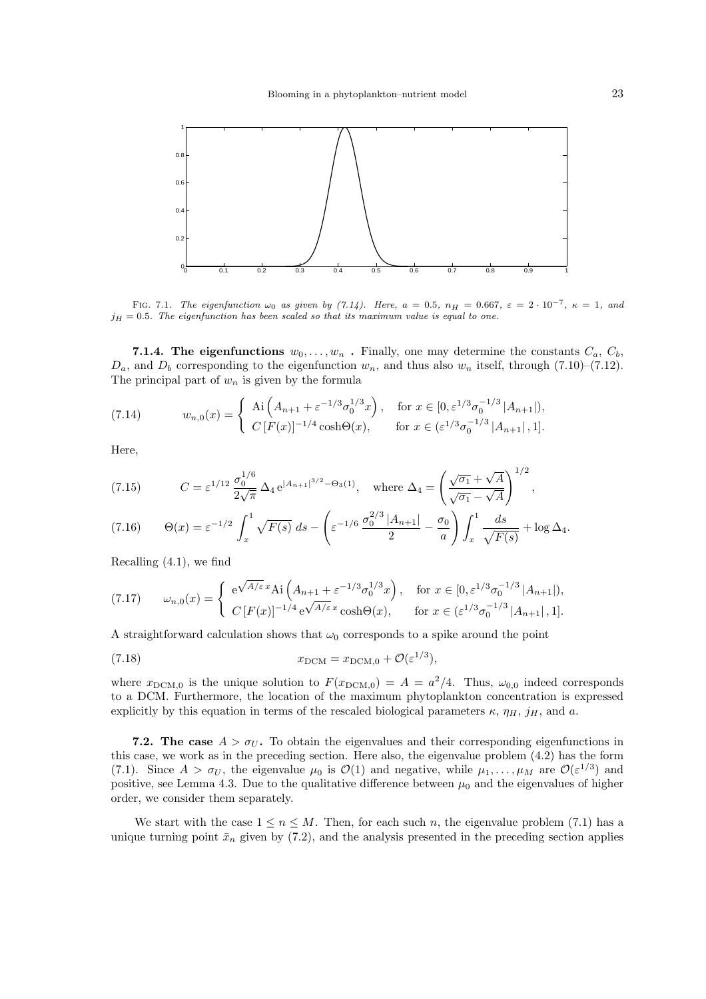

FIG. 7.1. The eigenfunction  $\omega_0$  as given by (7.14). Here,  $a = 0.5$ ,  $n_H = 0.667$ ,  $\varepsilon = 2 \cdot 10^{-7}$ ,  $\kappa = 1$ , and  $j_H = 0.5$ . The eigenfunction has been scaled so that its maximum value is equal to one.

**7.1.4.** The eigenfunctions  $w_0, \ldots, w_n$ . Finally, one may determine the constants  $C_a, C_b$ ,  $D_a$ , and  $D_b$  corresponding to the eigenfunction  $w_n$ , and thus also  $w_n$  itself, through (7.10)–(7.12). The principal part of  $w_n$  is given by the formula

(7.14) 
$$
w_{n,0}(x) = \begin{cases} \text{Ai}\left(A_{n+1} + \varepsilon^{-1/3}\sigma_0^{1/3}x\right), & \text{for } x \in [0, \varepsilon^{1/3}\sigma_0^{-1/3} |A_{n+1}|), \\ C\left[F(x)\right]^{-1/4} \cosh\Theta(x), & \text{for } x \in (\varepsilon^{1/3}\sigma_0^{-1/3} |A_{n+1}|, 1]. \end{cases}
$$

Here,

(7.15) 
$$
C = \varepsilon^{1/12} \frac{\sigma_0^{1/6}}{2\sqrt{\pi}} \Delta_4 e^{|A_{n+1}|^{3/2} - \Theta_3(1)}, \text{ where } \Delta_4 = \left(\frac{\sqrt{\sigma_1} + \sqrt{A}}{\sqrt{\sigma_1} - \sqrt{A}}\right)^{1/2},
$$

$$
(7.16) \qquad \Theta(x) = \varepsilon^{-1/2} \int_x^1 \sqrt{F(s)} \, ds - \left( \varepsilon^{-1/6} \frac{\sigma_0^{2/3} |A_{n+1}|}{2} - \frac{\sigma_0}{a} \right) \int_x^1 \frac{ds}{\sqrt{F(s)}} + \log \Delta_4.
$$

Recalling (4.1), we find

$$
(7.17) \qquad \omega_{n,0}(x) = \begin{cases} e^{\sqrt{A/\varepsilon}x} \text{Ai}\left(A_{n+1} + \varepsilon^{-1/3}\sigma_0^{1/3}x\right), & \text{for } x \in [0, \varepsilon^{1/3}\sigma_0^{-1/3} |A_{n+1}|), \\ C\left[F(x)\right]^{-1/4} e^{\sqrt{A/\varepsilon}x} \cosh\Theta(x), & \text{for } x \in (\varepsilon^{1/3}\sigma_0^{-1/3} |A_{n+1}|, 1]. \end{cases}
$$

A straightforward calculation shows that  $\omega_0$  corresponds to a spike around the point

(7.18) 
$$
x_{\text{DCM}} = x_{\text{DCM},0} + \mathcal{O}(\varepsilon^{1/3}),
$$

where  $x_{\text{DCM},0}$  is the unique solution to  $F(x_{\text{DCM},0}) = A = a^2/4$ . Thus,  $\omega_{0,0}$  indeed corresponds to a DCM. Furthermore, the location of the maximum phytoplankton concentration is expressed explicitly by this equation in terms of the rescaled biological parameters  $\kappa$ ,  $\eta_H$ ,  $j_H$ , and a.

7.2. The case  $A > \sigma_U$ . To obtain the eigenvalues and their corresponding eigenfunctions in this case, we work as in the preceding section. Here also, the eigenvalue problem (4.2) has the form (7.1). Since  $A > \sigma_U$ , the eigenvalue  $\mu_0$  is  $\mathcal{O}(1)$  and negative, while  $\mu_1, \ldots, \mu_M$  are  $\mathcal{O}(\varepsilon^{1/3})$  and positive, see Lemma 4.3. Due to the qualitative difference between  $\mu_0$  and the eigenvalues of higher order, we consider them separately.

We start with the case  $1 \le n \le M$ . Then, for each such n, the eigenvalue problem (7.1) has a unique turning point  $\bar{x}_n$  given by (7.2), and the analysis presented in the preceding section applies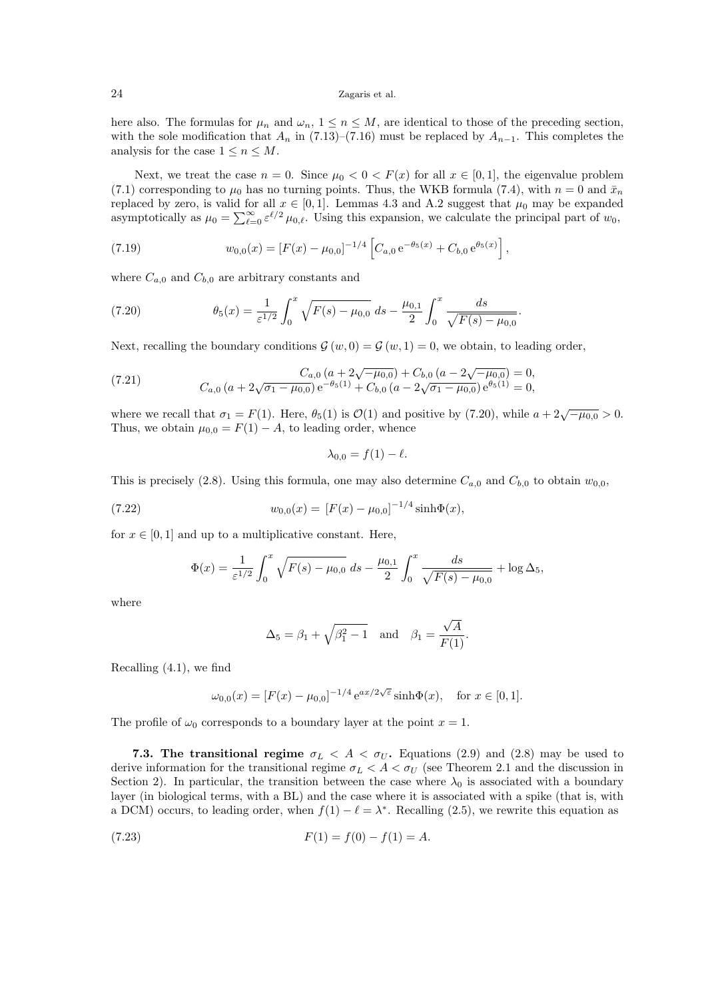here also. The formulas for  $\mu_n$  and  $\omega_n$ ,  $1 \leq n \leq M$ , are identical to those of the preceding section, with the sole modification that  $A_n$  in (7.13)–(7.16) must be replaced by  $A_{n-1}$ . This completes the analysis for the case  $1 \leq n \leq M$ .

Next, we treat the case  $n = 0$ . Since  $\mu_0 < 0 < F(x)$  for all  $x \in [0,1]$ , the eigenvalue problem (7.1) corresponding to  $\mu_0$  has no turning points. Thus, the WKB formula (7.4), with  $n = 0$  and  $\bar{x}_n$ replaced by zero, is valid for all  $x \in [0,1]$ . Lemmas 4.3 and A.2 suggest that  $\mu_0$  may be expanded asymptotically as  $\mu_0 = \sum_{\ell=0}^{\infty} \varepsilon^{\ell/2} \mu_{0,\ell}$ . Using this expansion, we calculate the principal part of  $w_0$ ,

(7.19) 
$$
w_{0,0}(x) = [F(x) - \mu_{0,0}]^{-1/4} \left[ C_{a,0} e^{-\theta_5(x)} + C_{b,0} e^{\theta_5(x)} \right],
$$

where  $C_{a,0}$  and  $C_{b,0}$  are arbitrary constants and

(7.20) 
$$
\theta_5(x) = \frac{1}{\varepsilon^{1/2}} \int_0^x \sqrt{F(s) - \mu_{0,0}} \, ds - \frac{\mu_{0,1}}{2} \int_0^x \frac{ds}{\sqrt{F(s) - \mu_{0,0}}}.
$$

Next, recalling the boundary conditions  $\mathcal{G}(w, 0) = \mathcal{G}(w, 1) = 0$ , we obtain, to leading order,

(7.21) 
$$
C_{a,0} (a + 2\sqrt{-\mu_{0,0}}) + C_{b,0} (a - 2\sqrt{-\mu_{0,0}}) = 0,
$$

$$
C_{a,0} (a + 2\sqrt{\sigma_1 - \mu_{0,0}}) e^{-\theta_5(1)} + C_{b,0} (a - 2\sqrt{\sigma_1 - \mu_{0,0}}) e^{\theta_5(1)} = 0,
$$

where we recall that  $\sigma_1 = F(1)$ . Here,  $\theta_5(1)$  is  $\mathcal{O}(1)$  and positive by (7.20), while  $a + 2\sqrt{-\mu_{0,0}} > 0$ . Thus, we obtain  $\mu_{0,0} = F(1) - A$ , to leading order, whence

$$
\lambda_{0,0}=f(1)-\ell.
$$

This is precisely (2.8). Using this formula, one may also determine  $C_{a,0}$  and  $C_{b,0}$  to obtain  $w_{0,0}$ ,

(7.22) 
$$
w_{0,0}(x) = [F(x) - \mu_{0,0}]^{-1/4} \sinh \Phi(x),
$$

for  $x \in [0, 1]$  and up to a multiplicative constant. Here,

$$
\Phi(x) = \frac{1}{\varepsilon^{1/2}} \int_0^x \sqrt{F(s) - \mu_{0,0}} \, ds - \frac{\mu_{0,1}}{2} \int_0^x \frac{ds}{\sqrt{F(s) - \mu_{0,0}}} + \log \Delta_5,
$$

where

$$
\Delta_5 = \beta_1 + \sqrt{\beta_1^2 - 1} \quad \text{and} \quad \beta_1 = \frac{\sqrt{A}}{F(1)}.
$$

Recalling (4.1), we find

$$
\omega_{0,0}(x) = [F(x) - \mu_{0,0}]^{-1/4} e^{ax/2\sqrt{\varepsilon}} \sinh \Phi(x), \text{ for } x \in [0,1].
$$

The profile of  $\omega_0$  corresponds to a boundary layer at the point  $x = 1$ .

7.3. The transitional regime  $\sigma_L < A < \sigma_U$ . Equations (2.9) and (2.8) may be used to derive information for the transitional regime  $\sigma_L < A < \sigma_U$  (see Theorem 2.1 and the discussion in Section 2). In particular, the transition between the case where  $\lambda_0$  is associated with a boundary layer (in biological terms, with a BL) and the case where it is associated with a spike (that is, with a DCM) occurs, to leading order, when  $f(1) - \ell = \lambda^*$ . Recalling (2.5), we rewrite this equation as

(7.23) 
$$
F(1) = f(0) - f(1) = A.
$$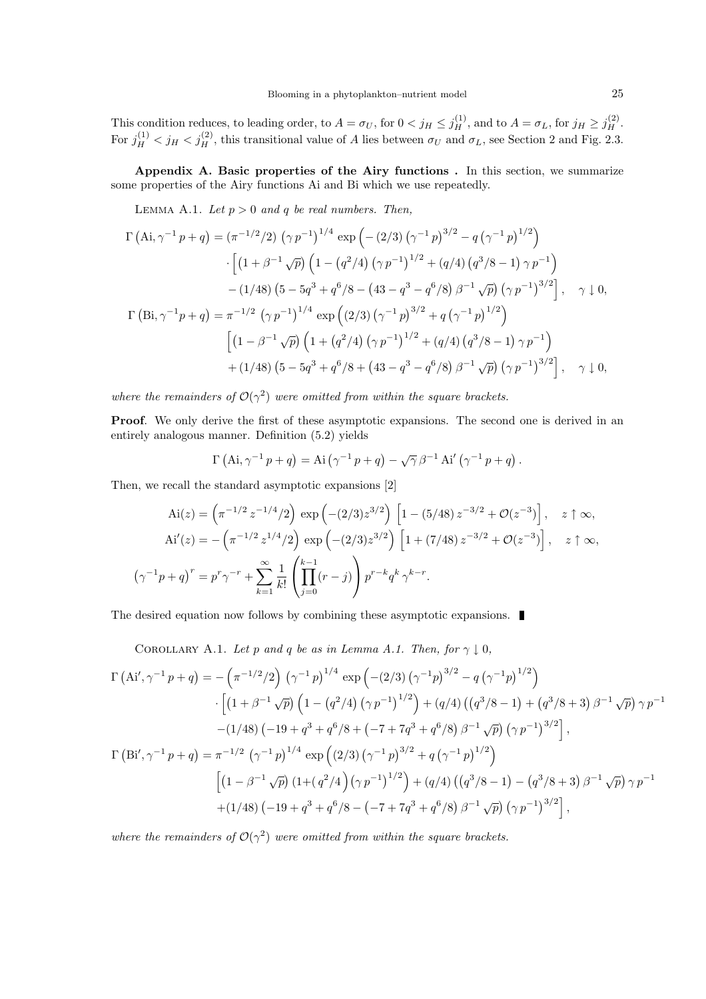This condition reduces, to leading order, to  $A = \sigma_U$ , for  $0 < j_H \le j_H^{(1)}$ , and to  $A = \sigma_L$ , for  $j_H \ge j_H^{(2)}$ . For  $j_H^{(1)} < j_H < j_H^{(2)}$ , this transitional value of A lies between  $\sigma_U$  and  $\sigma_L$ , see Section 2 and Fig. 2.3.

Appendix A. Basic properties of the Airy functions . In this section, we summarize some properties of the Airy functions Ai and Bi which we use repeatedly.

LEMMA A.1. Let  $p > 0$  and q be real numbers. Then,

$$
\Gamma(\text{Ai}, \gamma^{-1} p + q) = (\pi^{-1/2}/2) (\gamma p^{-1})^{1/4} \exp \left( - (2/3) (\gamma^{-1} p)^{3/2} - q (\gamma^{-1} p)^{1/2} \right)
$$
  
\n
$$
\cdot \left[ (1 + \beta^{-1} \sqrt{p}) \left( 1 - (q^2/4) (\gamma p^{-1})^{1/2} + (q/4) (q^3/8 - 1) \gamma p^{-1} \right) - (1/48) (5 - 5q^3 + q^6/8 - (43 - q^3 - q^6/8) \beta^{-1} \sqrt{p}) (\gamma p^{-1})^{3/2} \right], \quad \gamma \downarrow 0,
$$
  
\n
$$
\Gamma(\text{Bi}, \gamma^{-1} p + q) = \pi^{-1/2} (\gamma p^{-1})^{1/4} \exp \left( (2/3) (\gamma^{-1} p)^{3/2} + q (\gamma^{-1} p)^{1/2} \right)
$$
  
\n
$$
\left[ (1 - \beta^{-1} \sqrt{p}) \left( 1 + (q^2/4) (\gamma p^{-1})^{1/2} + (q/4) (q^3/8 - 1) \gamma p^{-1} \right) + (1/48) (5 - 5q^3 + q^6/8 + (43 - q^3 - q^6/8) \beta^{-1} \sqrt{p}) (\gamma p^{-1})^{3/2} \right], \quad \gamma \downarrow 0,
$$

where the remainders of  $\mathcal{O}(\gamma^2)$  were omitted from within the square brackets.

Proof. We only derive the first of these asymptotic expansions. The second one is derived in an entirely analogous manner. Definition (5.2) yields

$$
\Gamma\left(\mathrm{Ai},\gamma^{-1} p + q\right) = \mathrm{Ai}\left(\gamma^{-1} p + q\right) - \sqrt{\gamma} \beta^{-1} \mathrm{Ai}'\left(\gamma^{-1} p + q\right).
$$

Then, we recall the standard asymptotic expansions [2]

$$
\text{Ai}(z) = \left(\pi^{-1/2} z^{-1/4}/2\right) \exp\left(-(2/3) z^{3/2}\right) \left[1 - (5/48) z^{-3/2} + \mathcal{O}(z^{-3})\right], \quad z \uparrow \infty,
$$
\n
$$
\text{Ai}'(z) = -\left(\pi^{-1/2} z^{1/4}/2\right) \exp\left(-(2/3) z^{3/2}\right) \left[1 + (7/48) z^{-3/2} + \mathcal{O}(z^{-3})\right], \quad z \uparrow \infty,
$$
\n
$$
\left(\gamma^{-1} p + q\right)^r = p^r \gamma^{-r} + \sum_{k=1}^{\infty} \frac{1}{k!} \left(\prod_{j=0}^{k-1} (r - j)\right) p^{r-k} q^k \gamma^{k-r}.
$$

The desired equation now follows by combining these asymptotic expansions.

COROLLARY A.1. Let p and q be as in Lemma A.1. Then, for  $\gamma \downarrow 0$ ,

$$
\Gamma(\text{Ai}', \gamma^{-1} p + q) = -(\pi^{-1/2}/2) (\gamma^{-1} p)^{1/4} \exp(-(2/3) (\gamma^{-1} p)^{3/2} - q (\gamma^{-1} p)^{1/2})
$$
  
\n
$$
\cdot [(1 + \beta^{-1} \sqrt{p}) (1 - (q^2/4) (\gamma p^{-1})^{1/2}) + (q/4) ((q^3/8 - 1) + (q^3/8 + 3) \beta^{-1} \sqrt{p}) \gamma p^{-1}
$$
  
\n
$$
-(1/48) (-19 + q^3 + q^6/8 + (-7 + 7q^3 + q^6/8) \beta^{-1} \sqrt{p}) (\gamma p^{-1})^{3/2} ,
$$
  
\n
$$
\Gamma(\text{Bi}', \gamma^{-1} p + q) = \pi^{-1/2} (\gamma^{-1} p)^{1/4} \exp((2/3) (\gamma^{-1} p)^{3/2} + q (\gamma^{-1} p)^{1/2})
$$
  
\n
$$
[(1 - \beta^{-1} \sqrt{p}) (1 + (q^2/4) (\gamma p^{-1})^{1/2}) + (q/4) ((q^3/8 - 1) - (q^3/8 + 3) \beta^{-1} \sqrt{p}) \gamma p^{-1}
$$
  
\n
$$
+(1/48) (-19 + q^3 + q^6/8 - (-7 + 7q^3 + q^6/8) \beta^{-1} \sqrt{p}) (\gamma p^{-1})^{3/2} ,
$$

where the remainders of  $\mathcal{O}(\gamma^2)$  were omitted from within the square brackets.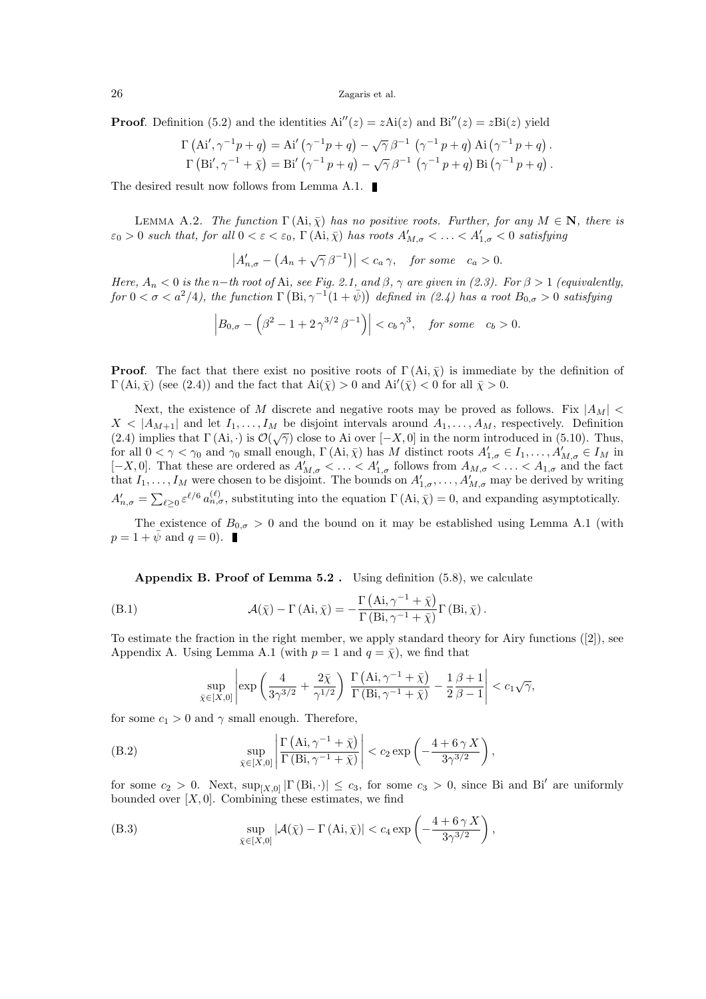**Proof.** Definition (5.2) and the identities  $Ai''(z) = zAi(z)$  and  $Bi''(z) = zBi(z)$  yield

$$
\Gamma\left(\text{Ai}', \gamma^{-1}p + q\right) = \text{Ai}'\left(\gamma^{-1}p + q\right) - \sqrt{\gamma}\beta^{-1}\left(\gamma^{-1}p + q\right)\text{Ai}\left(\gamma^{-1}p + q\right).
$$
  

$$
\Gamma\left(\text{Bi}', \gamma^{-1} + \bar{\chi}\right) = \text{Bi}'\left(\gamma^{-1}p + q\right) - \sqrt{\gamma}\beta^{-1}\left(\gamma^{-1}p + q\right)\text{Bi}\left(\gamma^{-1}p + q\right).
$$

The desired result now follows from Lemma A.1.

LEMMA A.2. The function  $\Gamma(\text{Ai}, \bar{\chi})$  has no positive roots. Further, for any  $M \in \mathbb{N}$ , there is  $\varepsilon_0 > 0$  such that, for all  $0 < \varepsilon < \varepsilon_0$ ,  $\Gamma(\mathrm{Ai}, \bar{\chi})$  has roots  $A'_{M,\sigma} < \ldots < A'_{1,\sigma} < 0$  satisfying

$$
\left|A'_{n,\sigma} - \left(A_n + \sqrt{\gamma}\,\beta^{-1}\right)\right| < c_a \,\gamma, \quad \text{for some} \quad c_a > 0.
$$

Here,  $A_n < 0$  is the n-th root of Ai, see Fig. 2.1, and  $\beta$ ,  $\gamma$  are given in (2.3). For  $\beta > 1$  (equivalently,  $for~0<\sigma< a^2/4$ ), the function  $\Gamma(\text{Bi},\gamma^{-1}(1+\bar{\psi}))$  defined in (2.4) has a root  $B_{0,\sigma}>0$  satisfying

$$
\left| B_{0,\sigma} - \left( \beta^2 - 1 + 2\gamma^{3/2} \beta^{-1} \right) \right| < c_b \gamma^3, \quad \text{for some} \quad c_b > 0.
$$

**Proof.** The fact that there exist no positive roots of  $\Gamma(Ai, \bar{\chi})$  is immediate by the definition of  $\Gamma(\text{Ai}, \bar{\chi})$  (see (2.4)) and the fact that  $\text{Ai}(\bar{\chi}) > 0$  and  $\text{Ai}'(\bar{\chi}) < 0$  for all  $\bar{\chi} > 0$ .

Next, the existence of M discrete and negative roots may be proved as follows. Fix  $|A_M|$  <  $X \leq |A_{M+1}|$  and let  $I_1, \ldots, I_M$  be disjoint intervals around  $A_1, \ldots, A_M$ , respectively. Definition (2.4) implies that  $\Gamma(\mathbf{Ai}, \cdot)$  is  $\mathcal{O}(\sqrt{\gamma})$  close to Ai over  $[-X, 0]$  in the norm introduced in (5.10). Thus, for all  $0 < \gamma < \gamma_0$  and  $\gamma_0$  small enough,  $\Gamma(\text{Ai}, \bar{\chi})$  has M distinct roots  $A'_{1,\sigma} \in I_1, \ldots, A'_{M,\sigma} \in I_M$  in [-X, 0]. That these are ordered as  $A'_{M,\sigma} < \ldots < A'_{1,\sigma}$  follows from  $A_{M,\sigma} < \ldots < A_{1,\sigma}$  and the fact that  $I_1, \ldots, I_M$  were chosen to be disjoint. The bounds on  $A'_{1,\sigma}, \ldots, A'_{M,\sigma}$  may be derived by writing  $A'_{n,\sigma} = \sum_{\ell \geq 0} \varepsilon^{\ell/6} a_{n,\sigma}^{(\ell)}$ , substituting into the equation  $\Gamma(Ai, \bar{\chi}) = 0$ , and expanding asymptotically.

The existence of  $B_{0,\sigma} > 0$  and the bound on it may be established using Lemma A.1 (with  $p = 1 + \bar{\psi} \text{ and } q = 0$ .

Appendix B. Proof of Lemma  $5.2$ . Using definition  $(5.8)$ , we calculate

(B.1) 
$$
\mathcal{A}(\bar{\chi}) - \Gamma(\text{Ai}, \bar{\chi}) = -\frac{\Gamma(\text{Ai}, \gamma^{-1} + \bar{\chi})}{\Gamma(\text{Bi}, \gamma^{-1} + \bar{\chi})} \Gamma(\text{Bi}, \bar{\chi}).
$$

To estimate the fraction in the right member, we apply standard theory for Airy functions ([2]), see Appendix A. Using Lemma A.1 (with  $p = 1$  and  $q = \overline{\chi}$ ), we find that

$$
\sup_{\bar{\chi}\in[X,0]}\left|\exp\left(\frac{4}{3\gamma^{3/2}}+\frac{2\bar{\chi}}{\gamma^{1/2}}\right)\frac{\Gamma\left(\mathrm{Ai},\gamma^{-1}+\bar{\chi}\right)}{\Gamma\left(\mathrm{Bi},\gamma^{-1}+\bar{\chi}\right)}-\frac{1}{2}\frac{\beta+1}{\beta-1}\right|
$$

for some  $c_1 > 0$  and  $\gamma$  small enough. Therefore,

(B.2) 
$$
\sup_{\bar{\chi} \in [X,0]} \left| \frac{\Gamma(\mathrm{Ai}, \gamma^{-1} + \bar{\chi})}{\Gamma(\mathrm{Bi}, \gamma^{-1} + \bar{\chi})} \right| < c_2 \exp\left(-\frac{4 + 6\gamma X}{3\gamma^{3/2}}\right),
$$

for some  $c_2 > 0$ . Next,  $\sup_{[X,0]} |\Gamma(\text{Bi}, \cdot)| \le c_3$ , for some  $c_3 > 0$ , since Bi and Bi' are uniformly bounded over  $[X, 0]$ . Combining these estimates, we find

(B.3) 
$$
\sup_{\bar{\chi}\in[X,0]}|\mathcal{A}(\bar{\chi}) - \Gamma(\text{Ai},\bar{\chi})| < c_4 \exp\left(-\frac{4+6\,\gamma X}{3\gamma^{3/2}}\right),
$$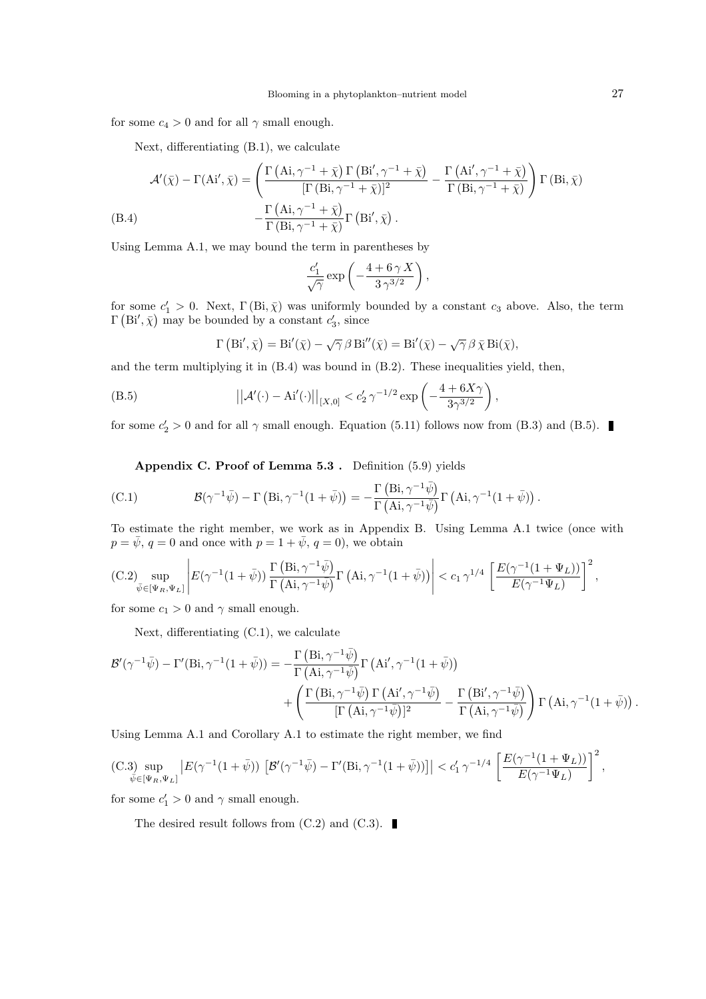for some  $c_4 > 0$  and for all  $\gamma$  small enough.

Next, differentiating (B.1), we calculate

$$
\mathcal{A}'(\bar{\chi}) - \Gamma(\mathbf{Ai}', \bar{\chi}) = \left( \frac{\Gamma(\mathbf{Ai}, \gamma^{-1} + \bar{\chi}) \Gamma(\mathbf{Bi}', \gamma^{-1} + \bar{\chi})}{[\Gamma(\mathbf{Bi}, \gamma^{-1} + \bar{\chi})]^2} - \frac{\Gamma(\mathbf{Ai}', \gamma^{-1} + \bar{\chi})}{\Gamma(\mathbf{Bi}, \gamma^{-1} + \bar{\chi})} \right) \Gamma(\mathbf{Bi}, \bar{\chi})
$$
\n(B.4)\n
$$
- \frac{\Gamma(\mathbf{Ai}, \gamma^{-1} + \bar{\chi})}{\Gamma(\mathbf{Bi}, \gamma^{-1} + \bar{\chi})} \Gamma(\mathbf{Bi}', \bar{\chi}).
$$

Using Lemma A.1, we may bound the term in parentheses by

$$
\frac{c_1'}{\sqrt{\gamma}}\exp\left(-\frac{4+6\,\gamma\,X}{3\,\gamma^{3/2}}\right),\,
$$

for some  $c'_1 > 0$ . Next,  $\Gamma(Bi, \bar{\chi})$  was uniformly bounded by a constant  $c_3$  above. Also, the term  $\Gamma(\text{Bi}', \bar{\chi})$  may be bounded by a constant  $c'_3$ , since

$$
\Gamma\left(\mathrm{Bi}',\bar{\chi}\right) = \mathrm{Bi}'(\bar{\chi}) - \sqrt{\gamma} \,\beta \,\mathrm{Bi}''(\bar{\chi}) = \mathrm{Bi}'(\bar{\chi}) - \sqrt{\gamma} \,\beta \,\bar{\chi} \,\mathrm{Bi}(\bar{\chi}),
$$

and the term multiplying it in  $(B.4)$  was bound in  $(B.2)$ . These inequalities yield, then,

(B.5) 
$$
||A'(\cdot) - Ai'(\cdot)||_{[X,0]} < c'_2 \gamma^{-1/2} \exp\left(-\frac{4 + 6X\gamma}{3\gamma^{3/2}}\right),
$$

for some  $c'_2 > 0$  and for all  $\gamma$  small enough. Equation (5.11) follows now from (B.3) and (B.5).

Appendix C. Proof of Lemma 5.3 . Definition (5.9) yields

(C.1) 
$$
\mathcal{B}(\gamma^{-1}\bar{\psi}) - \Gamma\left(\text{Bi}, \gamma^{-1}(1+\bar{\psi})\right) = -\frac{\Gamma\left(\text{Bi}, \gamma^{-1}\bar{\psi}\right)}{\Gamma\left(\text{Ai}, \gamma^{-1}\bar{\psi}\right)}\Gamma\left(\text{Ai}, \gamma^{-1}(1+\bar{\psi})\right).
$$

To estimate the right member, we work as in Appendix B. Using Lemma A.1 twice (once with  $p = \bar{\psi}, q = 0$  and once with  $p = 1 + \bar{\psi}, q = 0$ , we obtain

$$
\text{(C.2)} \sup_{\bar{\psi}\in[\Psi_R,\Psi_L]}\left|E(\gamma^{-1}(1+\bar{\psi}))\,\frac{\Gamma\left(\mathrm{Bi},\gamma^{-1}\bar{\psi}\right)}{\Gamma\left(\mathrm{Ai},\gamma^{-1}\bar{\psi}\right)}\Gamma\left(\mathrm{Ai},\gamma^{-1}(1+\bar{\psi})\right)\right|\leq c_1\,\gamma^{1/4}\,\left[\frac{E(\gamma^{-1}(1+\Psi_L))}{E(\gamma^{-1}\Psi_L)}\right]^2,
$$

for some  $c_1 > 0$  and  $\gamma$  small enough.

Next, differentiating (C.1), we calculate

$$
\mathcal{B}'(\gamma^{-1}\bar{\psi}) - \Gamma'(\text{Bi}, \gamma^{-1}(1+\bar{\psi})) = -\frac{\Gamma(\text{Bi}, \gamma^{-1}\bar{\psi})}{\Gamma(\text{Ai}, \gamma^{-1}\bar{\psi})} \Gamma(\text{Ai}', \gamma^{-1}(1+\bar{\psi})) + \left( \frac{\Gamma(\text{Bi}, \gamma^{-1}\bar{\psi}) \Gamma(\text{Ai}', \gamma^{-1}\bar{\psi})}{[\Gamma(\text{Ai}, \gamma^{-1}\bar{\psi})]^2} - \frac{\Gamma(\text{Bi}', \gamma^{-1}\bar{\psi})}{\Gamma(\text{Ai}, \gamma^{-1}\bar{\psi})} \right) \Gamma(\text{Ai}, \gamma^{-1}(1+\bar{\psi})) .
$$

Using Lemma A.1 and Corollary A.1 to estimate the right member, we find

$$
\text{(C.3)} \sup_{\bar{\psi}\in[\Psi_R,\Psi_L]} \left| E(\gamma^{-1}(1+\bar{\psi})) \left[ \mathcal{B}'(\gamma^{-1}\bar{\psi}) - \Gamma'(Bi, \gamma^{-1}(1+\bar{\psi})) \right] \right| < c'_1 \gamma^{-1/4} \left[ \frac{E(\gamma^{-1}(1+\Psi_L))}{E(\gamma^{-1}\Psi_L)} \right]^2,
$$

for some  $c'_1 > 0$  and  $\gamma$  small enough.

The desired result follows from  $(C.2)$  and  $(C.3)$ .

 $\sim$